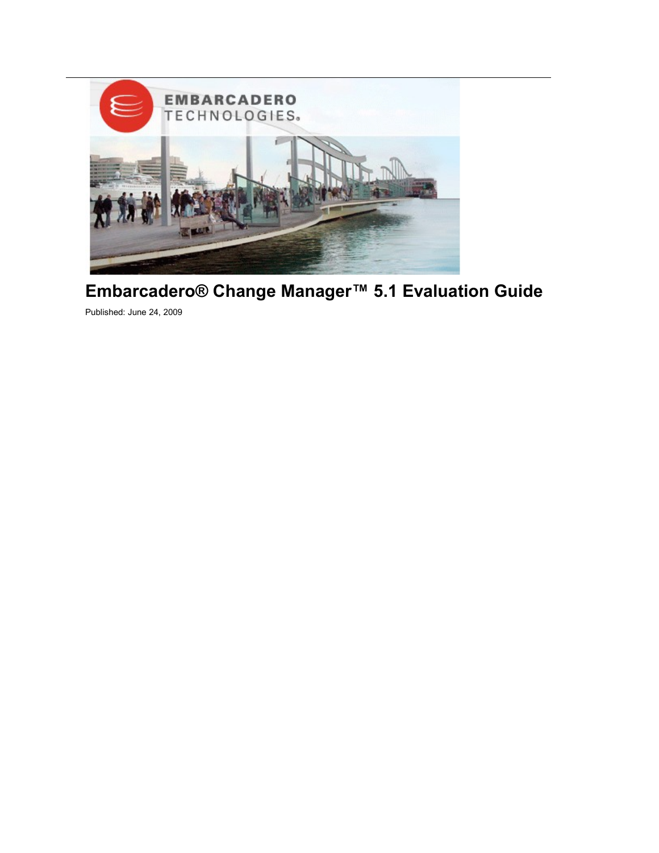

# **Embarcadero® Change Manager™ 5.1 Evaluation Guide**

Published: June 24, 2009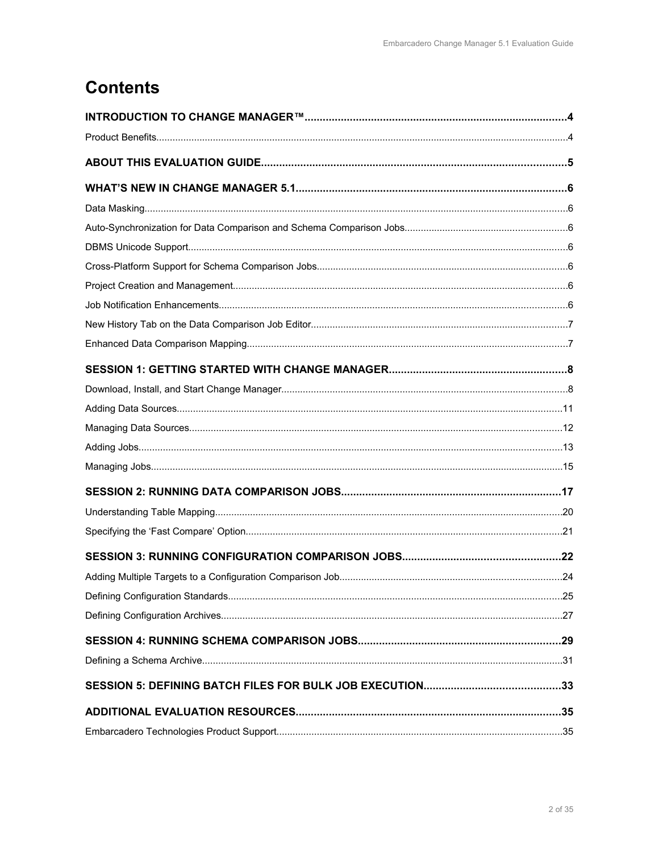# **Contents**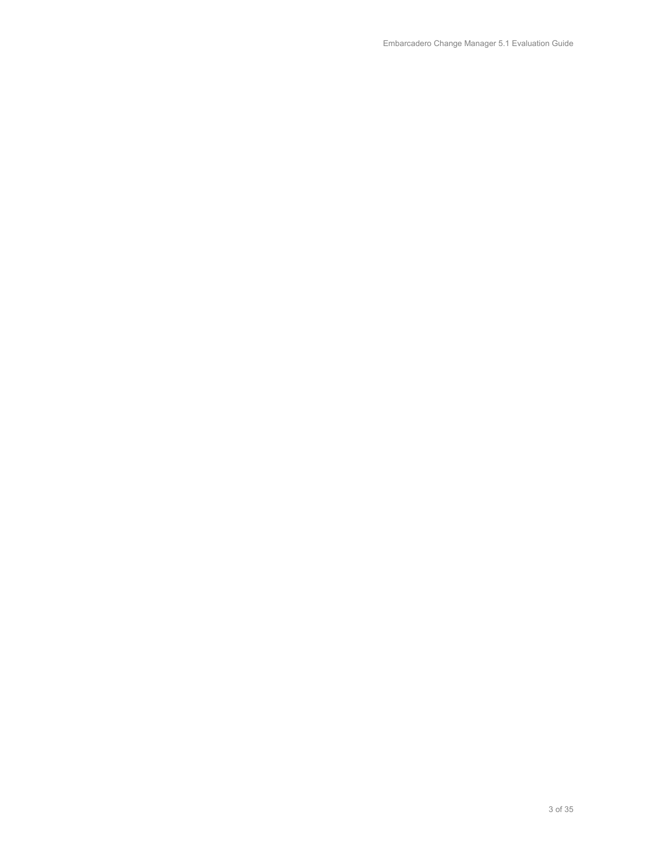Embarcadero Change Manager 5.1 Evaluation Guide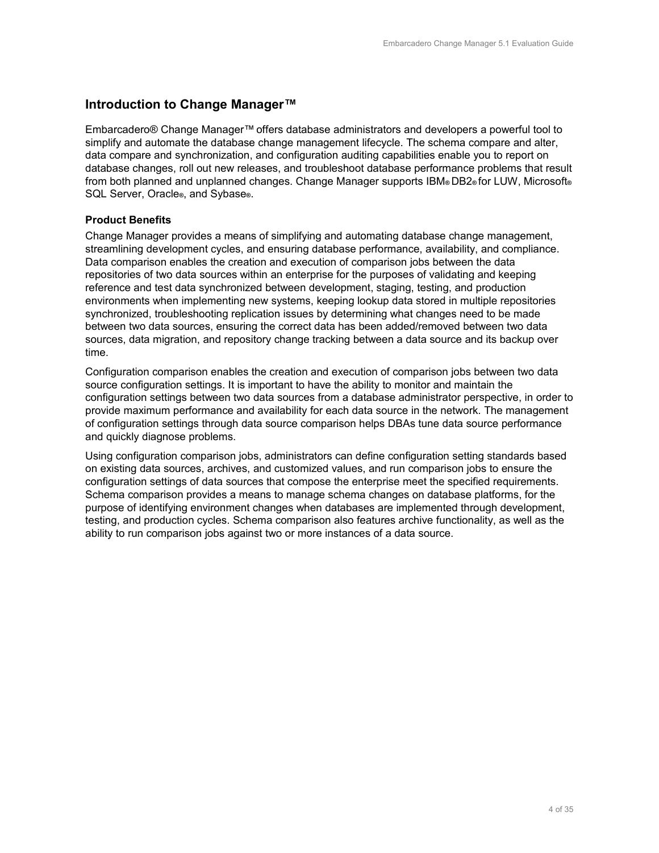# **Introduction to Change Manager™**

Embarcadero® Change Manager™offers database administrators and developers a powerful tool to simplify and automate the database change management lifecycle. The schema compare and alter, data compare and synchronization, and configuration auditing capabilities enable you to report on database changes, roll out new releases, and troubleshoot database performance problems that result from both planned and unplanned changes. Change Manager supports IBM**®** DB2**®** for LUW, Microsoft**®** SQL Server, Oracle**®**, and Sybase**®**.

# **Product Benefits**

Change Manager provides a means of simplifying and automating database change management, streamlining development cycles, and ensuring database performance, availability, and compliance. Data comparison enables the creation and execution of comparison jobs between the data repositories of two data sources within an enterprise for the purposes of validating and keeping reference and test data synchronized between development, staging, testing, and production environments when implementing new systems, keeping lookup data stored in multiple repositories synchronized, troubleshooting replication issues by determining what changes need to be made between two data sources, ensuring the correct data has been added/removed between two data sources, data migration, and repository change tracking between a data source and its backup over time.

Configuration comparison enables the creation and execution of comparison jobs between two data source configuration settings. It is important to have the ability to monitor and maintain the configuration settings between two data sources from a database administrator perspective, in order to provide maximum performance and availability for each data source in the network. The management of configuration settings through data source comparison helps DBAs tune data source performance and quickly diagnose problems.

Using configuration comparison jobs, administrators can define configuration setting standards based on existing data sources, archives, and customized values, and run comparison jobs to ensure the configuration settings of data sources that compose the enterprise meet the specified requirements. Schema comparison provides a means to manage schema changes on database platforms, for the purpose of identifying environment changes when databases are implemented through development, testing, and production cycles. Schema comparison also features archive functionality, as well as the ability to run comparison jobs against two or more instances of a data source.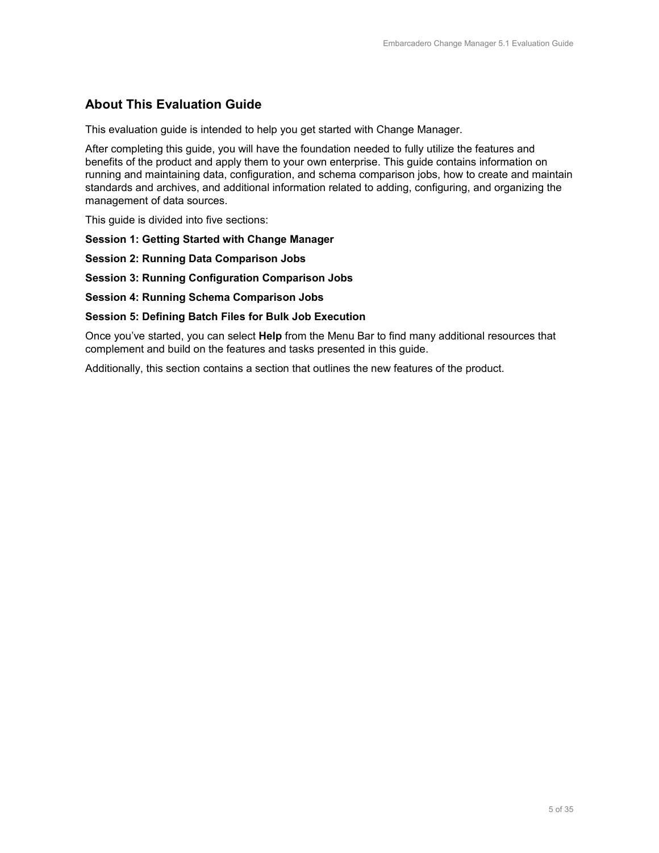# **About This Evaluation Guide**

This evaluation guide is intended to help you get started with Change Manager.

After completing this guide, you will have the foundation needed to fully utilize the features and benefits of the product and apply them to your own enterprise. This guide contains information on running and maintaining data, configuration, and schema comparison jobs, how to create and maintain standards and archives, and additional information related to adding, configuring, and organizing the management of data sources.

This guide is divided into five sections:

**Session 1: Getting Started with Change Manager**

**Session 2: Running Data Comparison Jobs**

**Session 3: Running Configuration Comparison Jobs**

**Session 4: Running Schema Comparison Jobs**

#### **Session 5: Defining Batch Files for Bulk Job Execution**

Once you've started, you can select **Help** from the Menu Bar to find many additional resources that complement and build on the features and tasks presented in this guide.

Additionally, this section contains a section that outlines the new features of the product.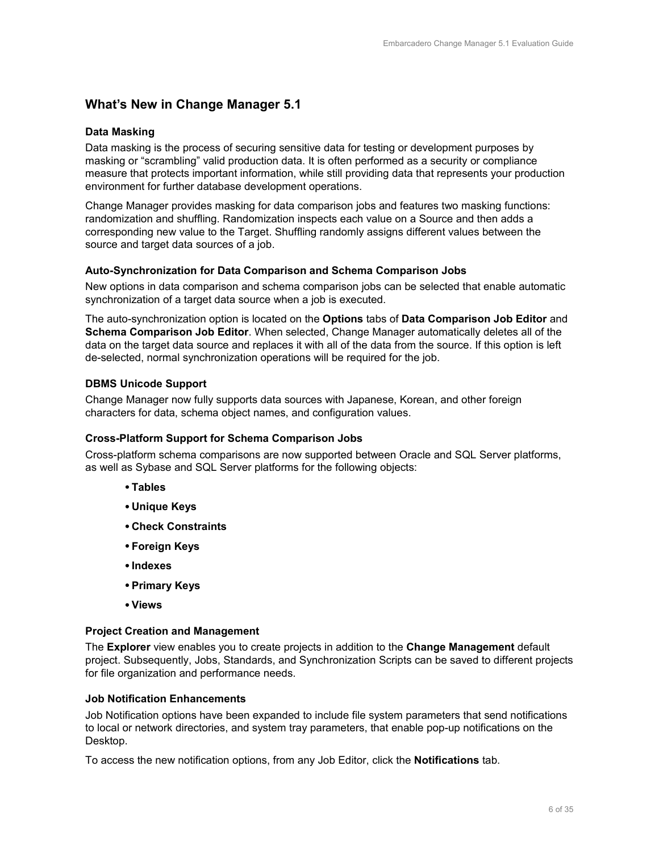# **What's New in Change Manager 5.1**

# **Data Masking**

Data masking is the process of securing sensitive data for testing or development purposes by masking or "scrambling" valid production data. It is often performed as a security or compliance measure that protects important information, while still providing data that represents your production environment for further database development operations.

Change Manager provides masking for data comparison jobs and features two masking functions: randomization and shuffling. Randomization inspects each value on a Source and then adds a corresponding new value to the Target. Shuffling randomly assigns different values between the source and target data sources of a job.

# **Auto-Synchronization for Data Comparison and Schema Comparison Jobs**

New options in data comparison and schema comparison jobs can be selected that enable automatic synchronization of a target data source when a job is executed.

The auto-synchronization option is located on the **Options** tabs of **Data Comparison Job Editor** and **Schema Comparison Job Editor**. When selected, Change Manager automatically deletes all of the data on the target data source and replaces it with all of the data from the source. If this option is left de-selected, normal synchronization operations will be required for the job.

# **DBMS Unicode Support**

Change Manager now fully supports data sources with Japanese, Korean, and other foreign characters for data, schema object names, and configuration values.

# **Cross-Platform Support for Schema Comparison Jobs**

Cross-platform schema comparisons are now supported between Oracle and SQL Server platforms, as well as Sybase and SQL Server platforms for the following objects:

- **Tables**
- **Unique Keys**
- **Check Constraints**
- **Foreign Keys**
- **Indexes**
- **Primary Keys**
- **Views**

# **Project Creation and Management**

The **Explorer** view enables you to create projects in addition to the **Change Management** default project. Subsequently, Jobs, Standards, and Synchronization Scripts can be saved to different projects for file organization and performance needs.

# **Job Notification Enhancements**

Job Notification options have been expanded to include file system parameters that send notifications to local or network directories, and system tray parameters, that enable pop-up notifications on the Desktop.

To access the new notification options, from any Job Editor, click the **Notifications** tab.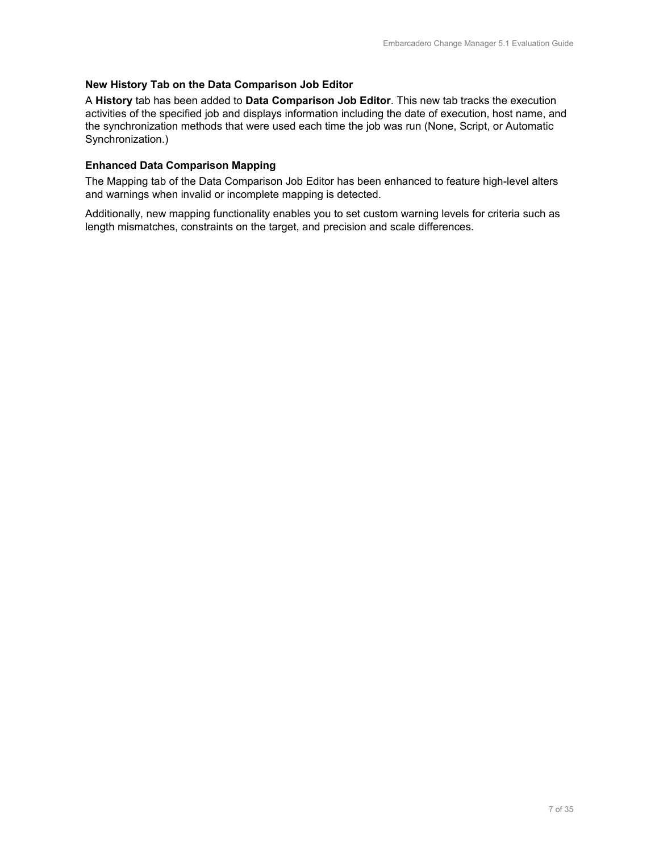# **New History Tab on the Data Comparison Job Editor**

A **History** tab has been added to **Data Comparison Job Editor**. This new tab tracks the execution activities of the specified job and displays information including the date of execution, host name, and the synchronization methods that were used each time the job was run (None, Script, or Automatic Synchronization.)

# **Enhanced Data Comparison Mapping**

The Mapping tab of the Data Comparison Job Editor has been enhanced to feature high-level alters and warnings when invalid or incomplete mapping is detected.

Additionally, new mapping functionality enables you to set custom warning levels for criteria such as length mismatches, constraints on the target, and precision and scale differences.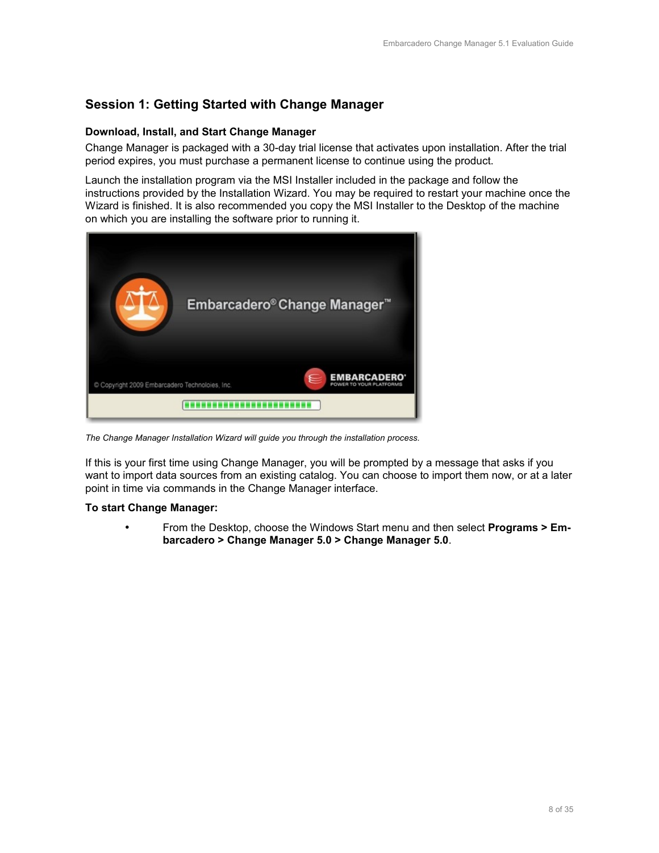# **Session 1: Getting Started with Change Manager**

# **Download, Install, and Start Change Manager**

Change Manager is packaged with a 30-day trial license that activates upon installation. After the trial period expires, you must purchase a permanent license to continue using the product.

Launch the installation program via the MSI Installer included in the package and follow the instructions provided by the Installation Wizard. You may be required to restart your machine once the Wizard is finished. It is also recommended you copy the MSI Installer to the Desktop of the machine on which you are installing the software prior to running it.



*The Change Manager Installation Wizard will guide you through the installation process.*

If this is your first time using Change Manager, you will be prompted by a message that asks if you want to import data sources from an existing catalog. You can choose to import them now, or at a later point in time via commands in the Change Manager interface.

# **To start Change Manager:**

• From the Desktop, choose the Windows Start menu and then select **Programs > Embarcadero > Change Manager 5.0 > Change Manager 5.0**.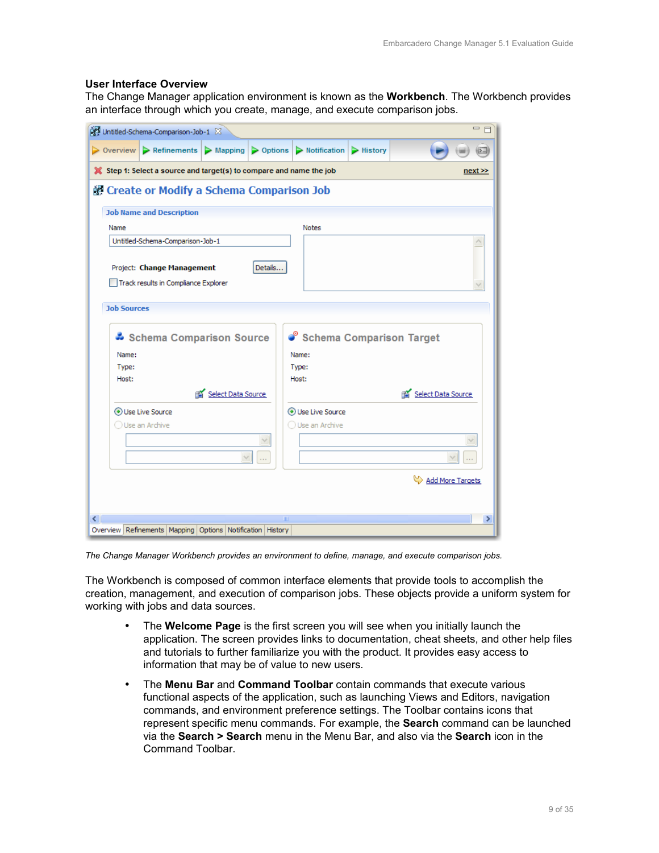## **User Interface Overview**

The Change Manager application environment is known as the **Workbench**. The Workbench provides an interface through which you create, manage, and execute comparison jobs.

| $\qquad \qquad =\qquad$<br>pet Untitled-Schema-Comparison-Job-1 $\%$<br>F       |                                      |                              |                          |                          |             |                               |                               |                    |                  |
|---------------------------------------------------------------------------------|--------------------------------------|------------------------------|--------------------------|--------------------------|-------------|-------------------------------|-------------------------------|--------------------|------------------|
| $\triangleright$ Overview                                                       |                                      | $\triangleright$ Refinements | $\triangleright$ Mapping |                          | Options     | $\triangleright$ Notification | $\blacktriangleright$ History |                    | $\geq$           |
| Step 1: Select a source and target(s) to compare and name the job<br>$next \gg$ |                                      |                              |                          |                          |             |                               |                               |                    |                  |
| 望 Create or Modify a Schema Comparison Job                                      |                                      |                              |                          |                          |             |                               |                               |                    |                  |
| <b>Job Name and Description</b>                                                 |                                      |                              |                          |                          |             |                               |                               |                    |                  |
| Name<br><b>Notes</b>                                                            |                                      |                              |                          |                          |             |                               |                               |                    |                  |
|                                                                                 | Untitled-Schema-Comparison-Job-1     |                              |                          |                          |             |                               |                               |                    |                  |
|                                                                                 |                                      |                              |                          |                          |             |                               |                               |                    |                  |
|                                                                                 | Project: Change Management           |                              |                          |                          | Details     |                               |                               |                    |                  |
|                                                                                 |                                      |                              |                          |                          |             |                               |                               |                    |                  |
|                                                                                 | Track results in Compliance Explorer |                              |                          |                          |             |                               |                               |                    |                  |
| <b>Job Sources</b>                                                              |                                      |                              |                          |                          |             |                               |                               |                    |                  |
|                                                                                 |                                      |                              |                          |                          |             |                               |                               |                    |                  |
|                                                                                 |                                      |                              |                          | Schema Comparison Source |             | Schema Comparison Target      |                               |                    |                  |
| Name:                                                                           |                                      |                              |                          |                          |             | Name:                         |                               |                    |                  |
| Type:                                                                           |                                      |                              |                          |                          |             | Type:                         |                               |                    |                  |
| Host:                                                                           |                                      |                              |                          |                          |             | Host:                         |                               |                    |                  |
|                                                                                 |                                      |                              |                          | Select Data Source       |             |                               |                               | Select Data Source |                  |
|                                                                                 | <b>O</b> Use Live Source             |                              |                          |                          |             | <b>O</b> Use Live Source      |                               |                    |                  |
|                                                                                 | ◯ Use an Archive                     |                              |                          |                          |             | ◯ Use an Archive              |                               |                    |                  |
|                                                                                 |                                      |                              |                          |                          |             |                               |                               |                    |                  |
|                                                                                 |                                      |                              |                          | $\checkmark$             |             |                               |                               |                    | $\vee$           |
|                                                                                 |                                      |                              |                          |                          | $\cdots$    |                               |                               |                    | $\mathbf{r}$ and |
|                                                                                 |                                      |                              |                          |                          |             |                               |                               | Add More Targets   |                  |
|                                                                                 |                                      |                              |                          |                          |             |                               |                               |                    |                  |
|                                                                                 |                                      |                              |                          |                          |             |                               |                               |                    |                  |
| ∢                                                                               |                                      |                              |                          |                          | <b>TITL</b> |                               |                               |                    | ≯                |
| Overview Refinements   Mapping   Options   Notification   History               |                                      |                              |                          |                          |             |                               |                               |                    |                  |

*The Change Manager Workbench provides an environment to define, manage, and execute comparison jobs.*

The Workbench is composed of common interface elements that provide tools to accomplish the creation, management, and execution of comparison jobs. These objects provide a uniform system for working with jobs and data sources.

- The **Welcome Page** is the first screen you will see when you initially launch the application. The screen provides links to documentation, cheat sheets, and other help files and tutorials to further familiarize you with the product. It provides easy access to information that may be of value to new users.
- The **Menu Bar** and **Command Toolbar** contain commands that execute various functional aspects of the application, such as launching Views and Editors, navigation commands, and environment preference settings. The Toolbar contains icons that represent specific menu commands. For example, the **Search** command can be launched via the **Search > Search** menu in the Menu Bar, and also via the **Search** icon in the Command Toolbar.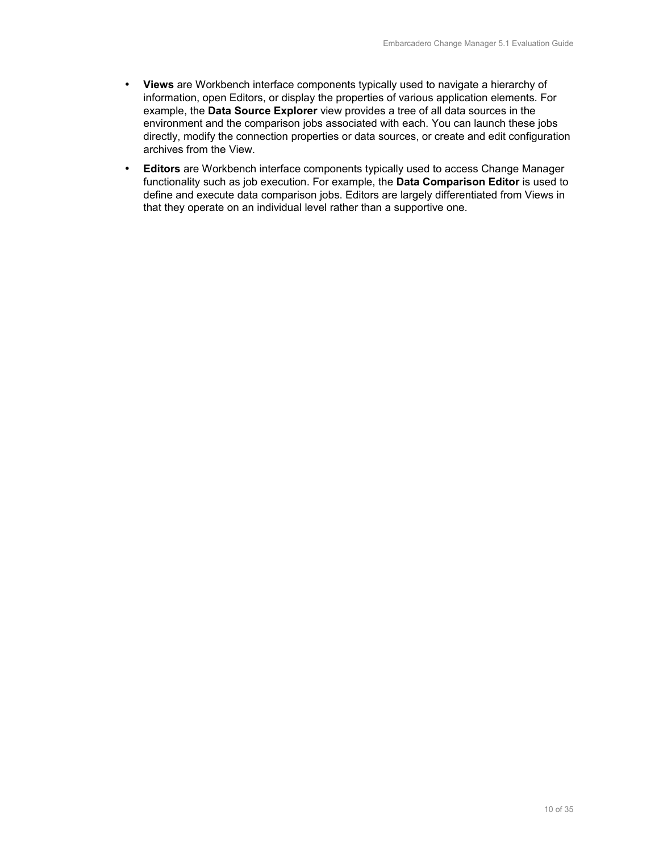- **Views** are Workbench interface components typically used to navigate a hierarchy of information, open Editors, or display the properties of various application elements. For example, the **Data Source Explorer** view provides a tree of all data sources in the environment and the comparison jobs associated with each. You can launch these jobs directly, modify the connection properties or data sources, or create and edit configuration archives from the View.
- **Editors** are Workbench interface components typically used to access Change Manager functionality such as job execution. For example, the **Data Comparison Editor** is used to define and execute data comparison jobs. Editors are largely differentiated from Views in that they operate on an individual level rather than a supportive one.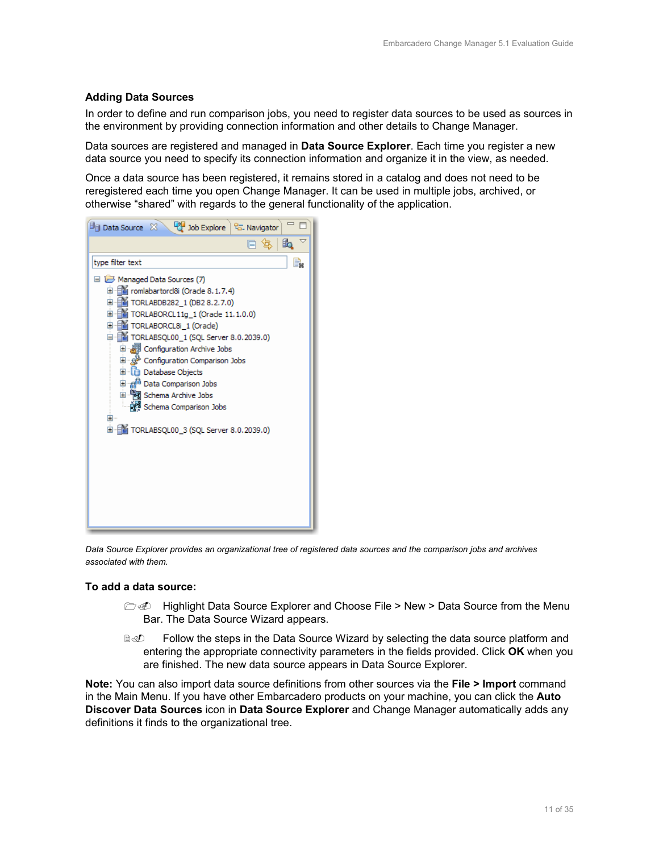# **Adding Data Sources**

In order to define and run comparison jobs, you need to register data sources to be used as sources in the environment by providing connection information and other details to Change Manager.

Data sources are registered and managed in **Data Source Explorer**. Each time you register a new data source you need to specify its connection information and organize it in the view, as needed.

Once a data source has been registered, it remains stored in a catalog and does not need to be reregistered each time you open Change Manager. It can be used in multiple jobs, archived, or otherwise "shared" with regards to the general functionality of the application.



*Data Source Explorer provides an organizational tree of registered data sources and the comparison jobs and archives associated with them.*

#### **To add a data source:**

- **1. A. Highlight Data Source Explorer and Choose File > New > Data Source from the Menu** Bar. The Data Source Wizard appears.
- **2.** Follow the steps in the Data Source Wizard by selecting the data source platform and entering the appropriate connectivity parameters in the fields provided. Click **OK** when you are finished. The new data source appears in Data Source Explorer.

**Note:** You can also import data source definitions from other sources via the **File > Import** command in the Main Menu. If you have other Embarcadero products on your machine, you can click the **Auto Discover Data Sources** icon in **Data Source Explorer** and Change Manager automatically adds any definitions it finds to the organizational tree.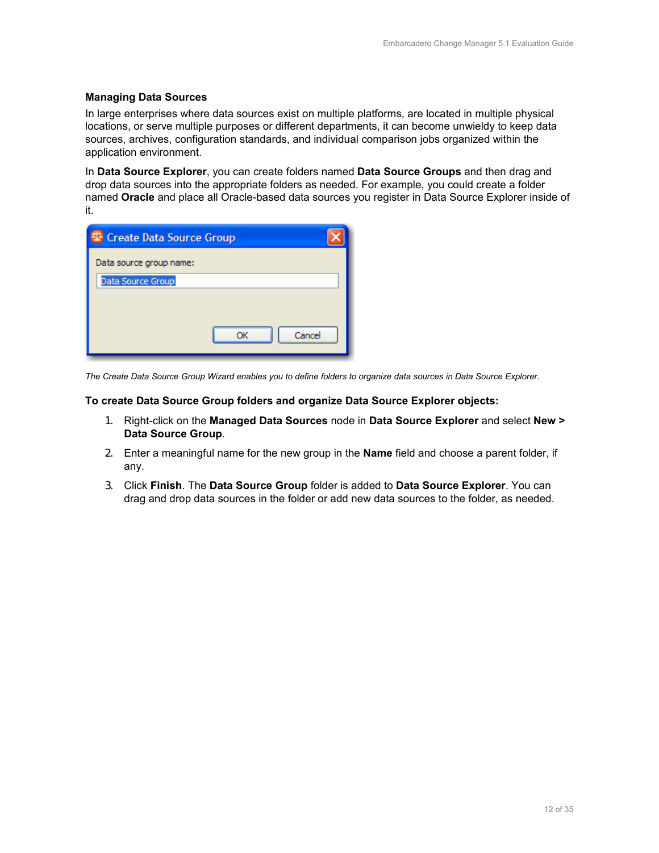# **Managing Data Sources**

In large enterprises where data sources exist on multiple platforms, are located in multiple physical locations, or serve multiple purposes or different departments, it can become unwieldy to keep data sources, archives, configuration standards, and individual comparison jobs organized within the application environment.

In **Data Source Explorer**, you can create folders named **Data Source Groups** and then drag and drop data sources into the appropriate folders as needed. For example, you could create a folder named **Oracle** and place all Oracle-based data sources you register in Data Source Explorer inside of it.

| <b>E</b> Create Data Source Group |  |
|-----------------------------------|--|
| Data source group name:           |  |
| Data Source Group                 |  |
|                                   |  |
| Cancel<br>ΩK                      |  |

*The Create Data Source Group Wizard enables you to define folders to organize data sources in Data Source Explorer.*

#### **To create Data Source Group folders and organize Data Source Explorer objects:**

- 1. Right-click on the **Managed Data Sources** node in **Data Source Explorer** and select **New > Data Source Group**.
- 2. Enter a meaningful name for the new group in the **Name** field and choose a parent folder, if any.
- 3. Click **Finish**. The **Data Source Group** folder is added to **Data Source Explorer**. You can drag and drop data sources in the folder or add new data sources to the folder, as needed.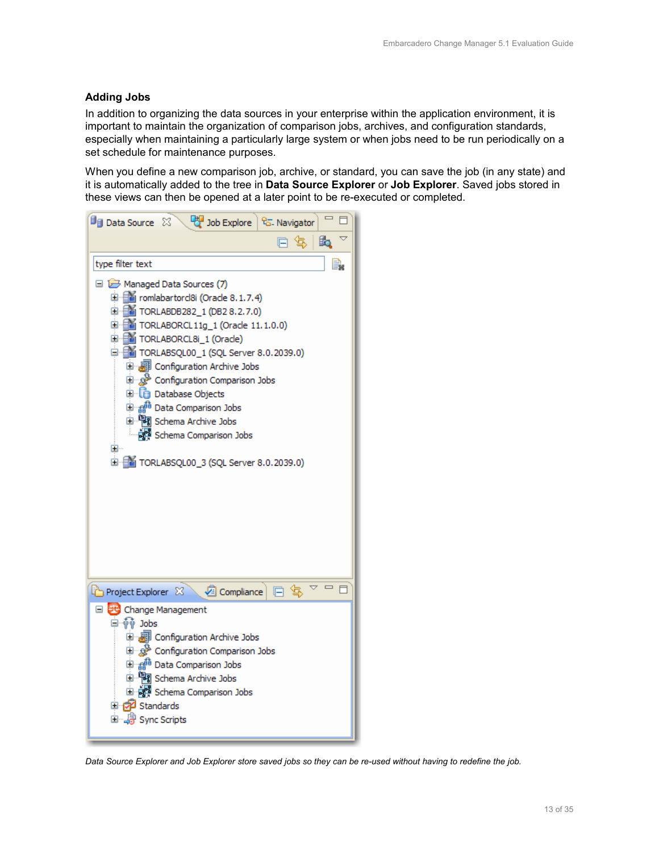# **Adding Jobs**

In addition to organizing the data sources in your enterprise within the application environment, it is important to maintain the organization of comparison jobs, archives, and configuration standards, especially when maintaining a particularly large system or when jobs need to be run periodically on a set schedule for maintenance purposes.

When you define a new comparison job, archive, or standard, you can save the job (in any state) and it is automatically added to the tree in **Data Source Explorer** or **Job Explorer**. Saved jobs stored in these views can then be opened at a later point to be re-executed or completed.



*Data Source Explorer and Job Explorer store saved jobs so they can be re-used without having to redefine the job.*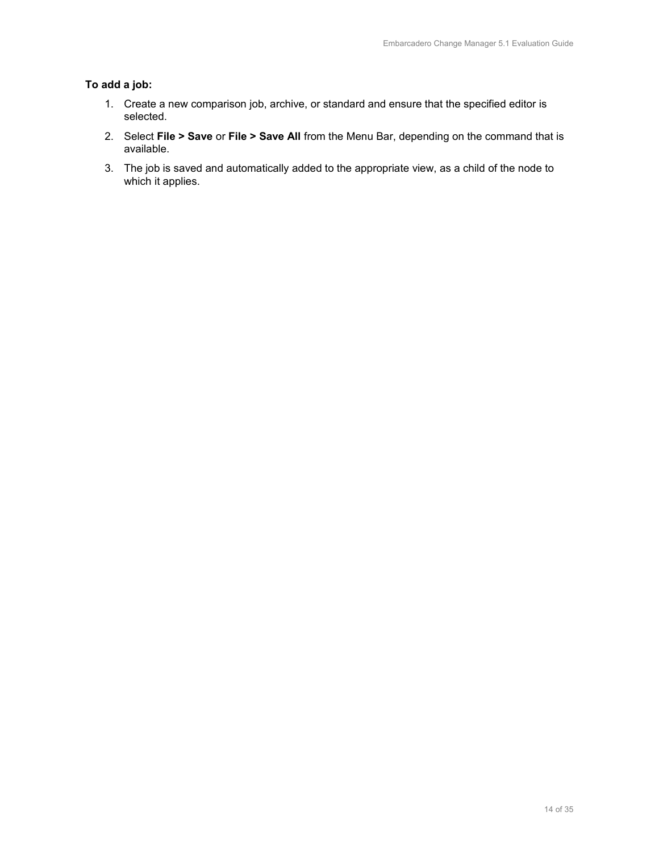# **To add a job:**

- 1. Create a new comparison job, archive, or standard and ensure that the specified editor is selected.
- 2. Select **File > Save** or **File > Save All** from the Menu Bar, depending on the command that is available.
- 3. The job is saved and automatically added to the appropriate view, as a child of the node to which it applies.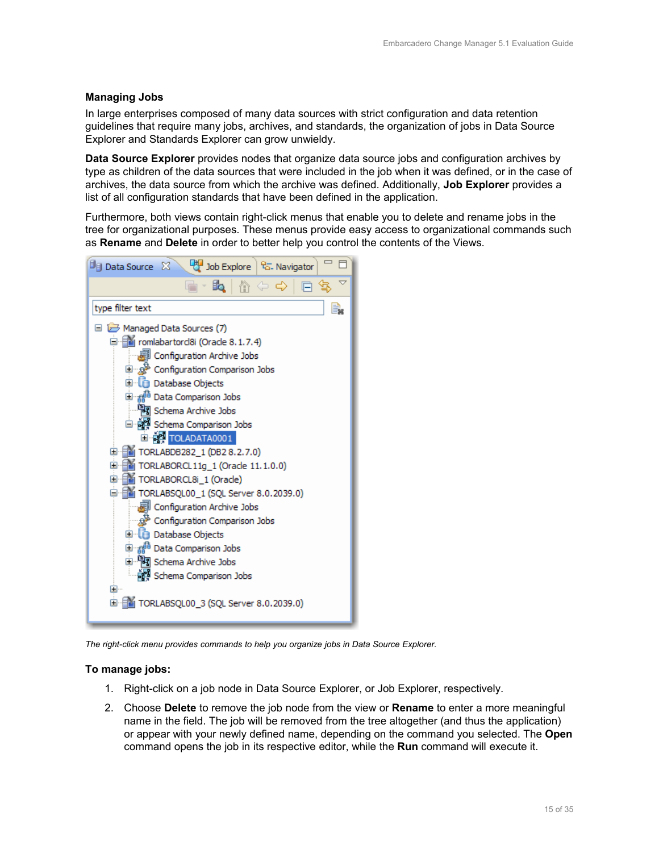# **Managing Jobs**

In large enterprises composed of many data sources with strict configuration and data retention guidelines that require many jobs, archives, and standards, the organization of jobs in Data Source Explorer and Standards Explorer can grow unwieldy.

**Data Source Explorer** provides nodes that organize data source jobs and configuration archives by type as children of the data sources that were included in the job when it was defined, or in the case of archives, the data source from which the archive was defined. Additionally, **Job Explorer** provides a list of all configuration standards that have been defined in the application.

Furthermore, both views contain right-click menus that enable you to delete and rename jobs in the tree for organizational purposes. These menus provide easy access to organizational commands such as **Rename** and **Delete** in order to better help you control the contents of the Views.



*The right-click menu provides commands to help you organize jobs in Data Source Explorer.*

# **To manage jobs:**

- 1. Right-click on a job node in Data Source Explorer, or Job Explorer, respectively.
- 2. Choose **Delete** to remove the job node from the view or **Rename** to enter a more meaningful name in the field. The job will be removed from the tree altogether (and thus the application) or appear with your newly defined name, depending on the command you selected. The **Open** command opens the job in its respective editor, while the **Run** command will execute it.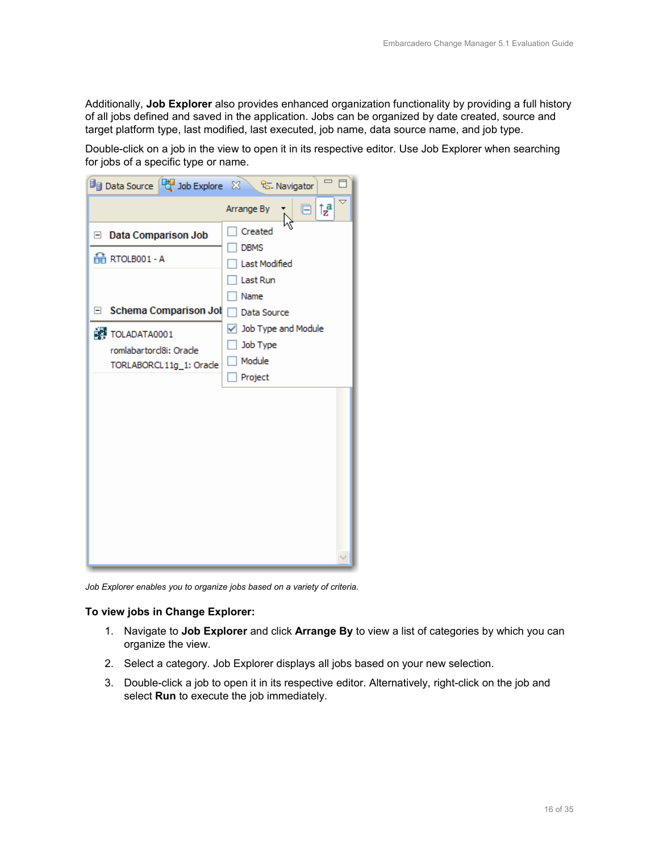Additionally, **Job Explorer** also provides enhanced organization functionality by providing a full history of all jobs defined and saved in the application. Jobs can be organized by date created, source and target platform type, last modified, last executed, job name, data source name, and job type.

Double-click on a job in the view to open it in its respective editor. Use Job Explorer when searching for jobs of a specific type or name.

| <b>DB</b> Data Source $\begin{bmatrix} \begin{bmatrix} 0 \\ 1 \end{bmatrix}$ Job Explore $\begin{bmatrix} \begin{bmatrix} \ddots \end{bmatrix} \end{bmatrix}$ | ਵਿੱਤ- Navigator                                                                   |
|---------------------------------------------------------------------------------------------------------------------------------------------------------------|-----------------------------------------------------------------------------------|
|                                                                                                                                                               | U<br>î,<br>Arrange By                                                             |
| <b>Data Comparison Job</b><br>$\Box$<br><b>H</b> RTOLB001 - A<br><b>Schema Comparison Jot</b><br>$\Box$                                                       | Created<br><b>DBMS</b><br><b>Last Modified</b><br>Last Run<br>Name<br>Data Source |
| <b>REA</b> TOLADATA0001<br>romlabartorcl8i: Oracle<br>TORLABORCL11g_1: Oracle                                                                                 | $\sqrt{}$ Job Type and Module<br>Job Type<br>Module<br>Project                    |

*Job Explorer enables you to organize jobs based on a variety of criteria.*

## **To view jobs in Change Explorer:**

- 1. Navigate to **Job Explorer** and click **Arrange By** to view a list of categories by which you can organize the view.
- 2. Select a category. Job Explorer displays all jobs based on your new selection.
- 3. Double-click a job to open it in its respective editor. Alternatively, right-click on the job and select **Run** to execute the job immediately.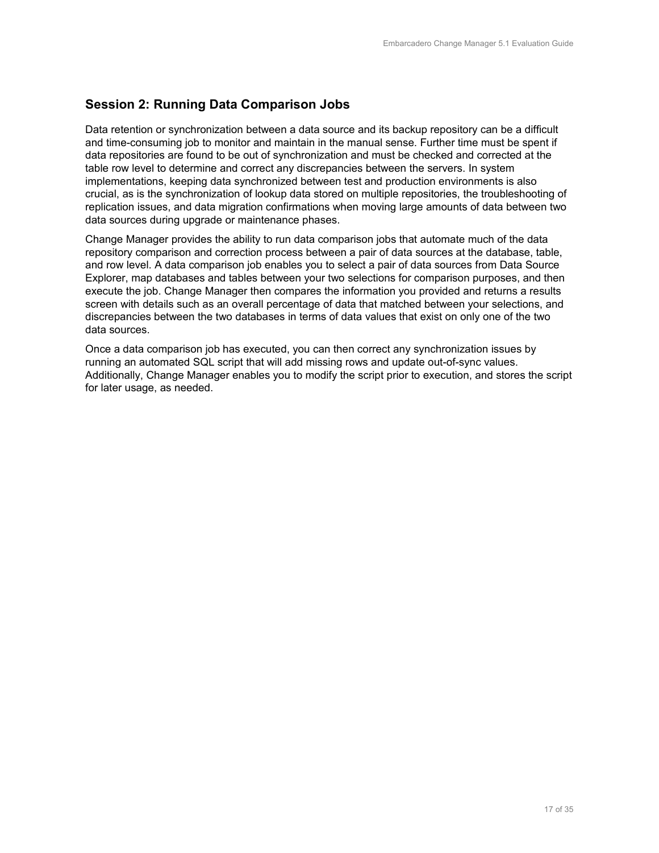# **Session 2: Running Data Comparison Jobs**

Data retention or synchronization between a data source and its backup repository can be a difficult and time-consuming job to monitor and maintain in the manual sense. Further time must be spent if data repositories are found to be out of synchronization and must be checked and corrected at the table row level to determine and correct any discrepancies between the servers. In system implementations, keeping data synchronized between test and production environments is also crucial, as is the synchronization of lookup data stored on multiple repositories, the troubleshooting of replication issues, and data migration confirmations when moving large amounts of data between two data sources during upgrade or maintenance phases.

Change Manager provides the ability to run data comparison jobs that automate much of the data repository comparison and correction process between a pair of data sources at the database, table, and row level. A data comparison job enables you to select a pair of data sources from Data Source Explorer, map databases and tables between your two selections for comparison purposes, and then execute the job. Change Manager then compares the information you provided and returns a results screen with details such as an overall percentage of data that matched between your selections, and discrepancies between the two databases in terms of data values that exist on only one of the two data sources.

Once a data comparison job has executed, you can then correct any synchronization issues by running an automated SQL script that will add missing rows and update out-of-sync values. Additionally, Change Manager enables you to modify the script prior to execution, and stores the script for later usage, as needed.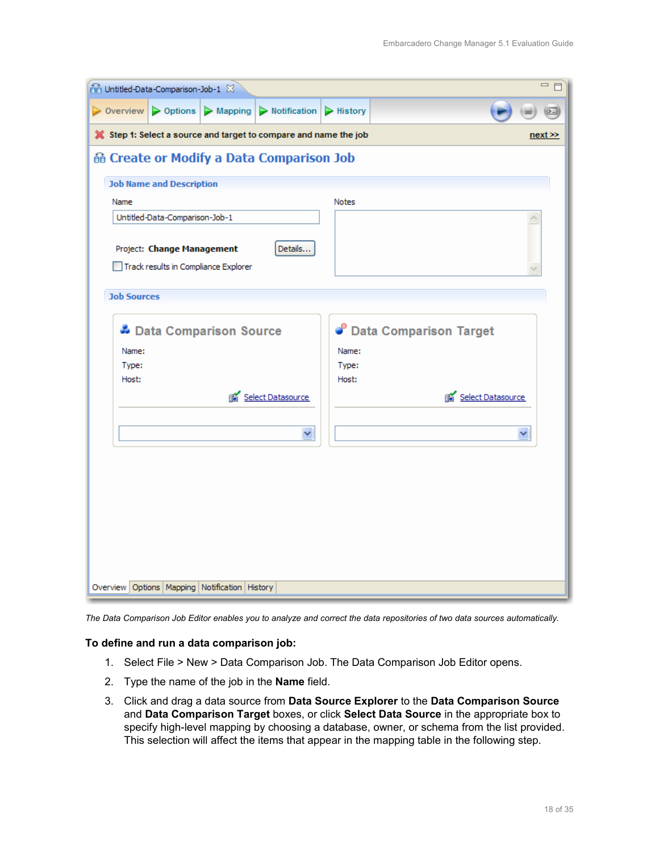| nd Untitled-Data-Comparison-Job-1 23                                                                                               | $\qquad \qquad =\qquad$<br>F |  |  |  |  |  |  |  |
|------------------------------------------------------------------------------------------------------------------------------------|------------------------------|--|--|--|--|--|--|--|
| $\triangleright$ Mapping $\triangleright$ Notification<br>$\triangleright$ Options<br>$\geq 0$ verview<br>$\triangleright$ History | $\geq$                       |  |  |  |  |  |  |  |
| Step 1: Select a source and target to compare and name the job<br>next >>                                                          |                              |  |  |  |  |  |  |  |
| 命 Create or Modify a Data Comparison Job                                                                                           |                              |  |  |  |  |  |  |  |
| <b>Job Name and Description</b>                                                                                                    |                              |  |  |  |  |  |  |  |
| <b>Notes</b><br>Name                                                                                                               |                              |  |  |  |  |  |  |  |
| Untitled-Data-Comparison-Job-1                                                                                                     |                              |  |  |  |  |  |  |  |
|                                                                                                                                    |                              |  |  |  |  |  |  |  |
| Details<br>Project: Change Management<br>Track results in Compliance Explorer                                                      |                              |  |  |  |  |  |  |  |
|                                                                                                                                    |                              |  |  |  |  |  |  |  |
| <b>Job Sources</b>                                                                                                                 |                              |  |  |  |  |  |  |  |
|                                                                                                                                    |                              |  |  |  |  |  |  |  |
| C Data Comparison Target<br>Data Comparison Source                                                                                 |                              |  |  |  |  |  |  |  |
| Name:<br>Name:                                                                                                                     |                              |  |  |  |  |  |  |  |
| Type:<br>Type:<br>Host:<br>Host:                                                                                                   |                              |  |  |  |  |  |  |  |
| Select Datasource<br>Select Datasource                                                                                             |                              |  |  |  |  |  |  |  |
|                                                                                                                                    |                              |  |  |  |  |  |  |  |
| v                                                                                                                                  | v                            |  |  |  |  |  |  |  |
|                                                                                                                                    |                              |  |  |  |  |  |  |  |
|                                                                                                                                    |                              |  |  |  |  |  |  |  |
|                                                                                                                                    |                              |  |  |  |  |  |  |  |
|                                                                                                                                    |                              |  |  |  |  |  |  |  |
|                                                                                                                                    |                              |  |  |  |  |  |  |  |
|                                                                                                                                    |                              |  |  |  |  |  |  |  |
|                                                                                                                                    |                              |  |  |  |  |  |  |  |
| Overview Options   Mapping   Notification   History                                                                                |                              |  |  |  |  |  |  |  |

*The Data Comparison Job Editor enables you to analyze and correct the data repositories of two data sources automatically.*

#### **To define and run a data comparison job:**

- 1. Select File > New > Data Comparison Job. The Data Comparison Job Editor opens.
- 2. Type the name of the job in the **Name** field.
- 3. Click and drag a data source from **Data Source Explorer** to the **Data Comparison Source** and **Data Comparison Target** boxes, or click **Select Data Source** in the appropriate box to specify high-level mapping by choosing a database, owner, or schema from the list provided. This selection will affect the items that appear in the mapping table in the following step.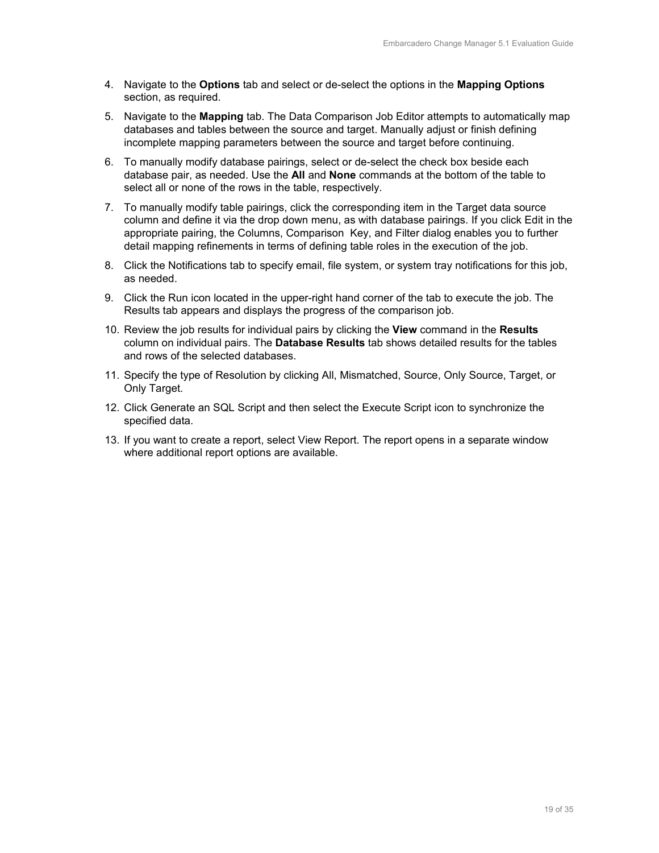- 4. Navigate to the **Options** tab and select or de-select the options in the **Mapping Options** section, as required.
- 5. Navigate to the **Mapping** tab. The Data Comparison Job Editor attempts to automatically map databases and tables between the source and target. Manually adjust or finish defining incomplete mapping parameters between the source and target before continuing.
- 6. To manually modify database pairings, select or de-select the check box beside each database pair, as needed. Use the **All** and **None** commands at the bottom of the table to select all or none of the rows in the table, respectively.
- 7. To manually modify table pairings, click the corresponding item in the Target data source column and define it via the drop down menu, as with database pairings. If you click Edit in the appropriate pairing, the Columns, Comparison Key, and Filter dialog enables you to further detail mapping refinements in terms of defining table roles in the execution of the job.
- 8. Click the Notifications tab to specify email, file system, or system tray notifications for this job, as needed.
- 9. Click the Run icon located in the upper-right hand corner of the tab to execute the job. The Results tab appears and displays the progress of the comparison job.
- 10. Review the job results for individual pairs by clicking the **View** command in the **Results** column on individual pairs. The **Database Results** tab shows detailed results for the tables and rows of the selected databases.
- 11. Specify the type of Resolution by clicking All, Mismatched, Source, Only Source, Target, or Only Target.
- 12. Click Generate an SQL Script and then select the Execute Script icon to synchronize the specified data.
- 13. If you want to create a report, select View Report. The report opens in a separate window where additional report options are available.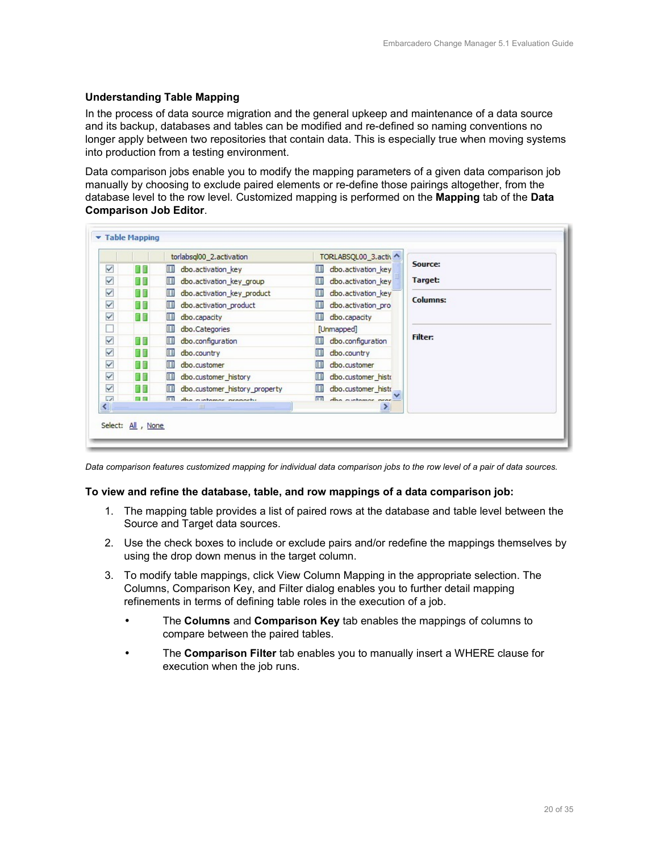# **Understanding Table Mapping**

In the process of data source migration and the general upkeep and maintenance of a data source and its backup, databases and tables can be modified and re-defined so naming conventions no longer apply between two repositories that contain data. This is especially true when moving systems into production from a testing environment.

Data comparison jobs enable you to modify the mapping parameters of a given data comparison job manually by choosing to exclude paired elements or re-define those pairings altogether, from the database level to the row level. Customized mapping is performed on the **Mapping** tab of the **Data Comparison Job Editor**.

|                          |    |    | torlabsgl00_2.activation              |    | TORLABSQL00 3.activ    |                 |  |
|--------------------------|----|----|---------------------------------------|----|------------------------|-----------------|--|
| $\checkmark$             | 日間 | 匪  | dbo.activation key                    | E  | dbo.activation key     | Source:         |  |
| $\overline{\checkmark}$  | 副画 | 围  | dbo.activation key group              | 匣  | dbo.activation_key     | Target:         |  |
| $\checkmark$             | 日目 | 囯  | dbo.activation key product            | 匣  | dbo.activation key     |                 |  |
| $\checkmark$             | ПГ | 囯  | dbo.activation_product                | 围  | dbo.activation_pro     | <b>Columns:</b> |  |
| $\overline{\checkmark}$  | 日岡 | 圍  | dbo.capacity                          | 围  | dbo.capacity           |                 |  |
|                          |    | 圃  | dbo.Categories                        |    | [Unmapped]             |                 |  |
| $\overline{\checkmark}$  | 冒险 | 圉  | dbo.configuration                     | 圍  | dbo.configuration      | <b>Filter:</b>  |  |
| $\checkmark$             | ПГ | 囯  | dbo.country                           | 围  | dbo.country            |                 |  |
| $\overline{\checkmark}$  | 日日 | 围  | dbo.customer                          | 圍  | dbo.customer           |                 |  |
| $\checkmark$             | 图图 | 圍  | dbo.customer history                  | E  | dbo.customer histo     |                 |  |
| ✓                        | 日目 | 围  | dbo.customer_history_property         | 圍  | dbo.customer_hist      |                 |  |
| $\overline{\mathscr{L}}$ | 同日 | EE | dhe customer proportu<br><b>TITLE</b> | EE | dha aistamar near<br>⋗ |                 |  |

*Data comparison features customized mapping for individual data comparison jobs to the row level of a pair of data sources.*

#### **To view and refine the database, table, and row mappings of a data comparison job:**

- 1. The mapping table provides a list of paired rows at the database and table level between the Source and Target data sources.
- 2. Use the check boxes to include or exclude pairs and/or redefine the mappings themselves by using the drop down menus in the target column.
- 3. To modify table mappings, click View Column Mapping in the appropriate selection. The Columns, Comparison Key, and Filter dialog enables you to further detail mapping refinements in terms of defining table roles in the execution of a job.
	- The **Columns** and **Comparison Key** tab enables the mappings of columns to compare between the paired tables.
	- The **Comparison Filter** tab enables you to manually insert a WHERE clause for execution when the job runs.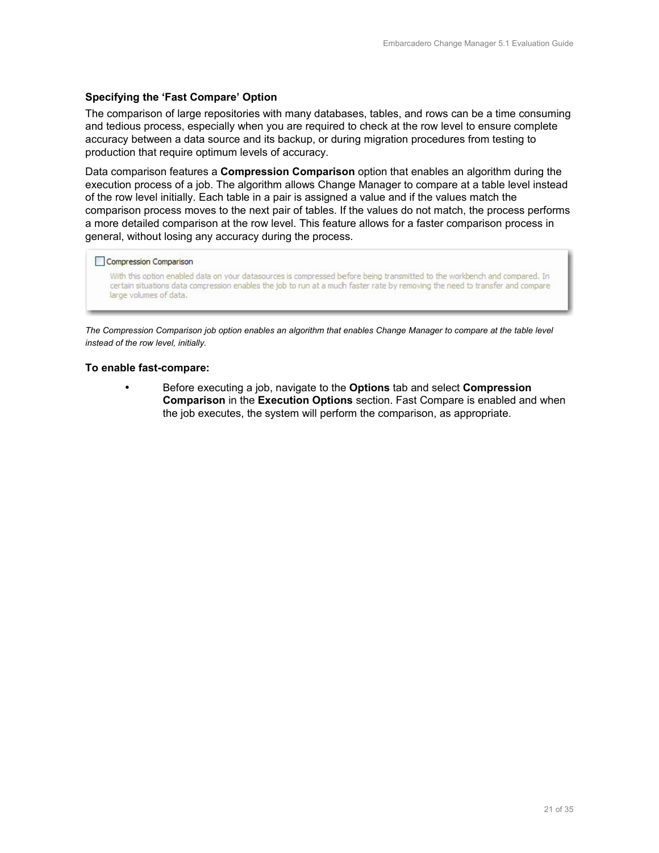# **Specifying the 'Fast Compare' Option**

The comparison of large repositories with many databases, tables, and rows can be a time consuming and tedious process, especially when you are required to check at the row level to ensure complete accuracy between a data source and its backup, or during migration procedures from testing to production that require optimum levels of accuracy.

Data comparison features a **Compression Comparison** option that enables an algorithm during the execution process of a job. The algorithm allows Change Manager to compare at a table level instead of the row level initially. Each table in a pair is assigned a value and if the values match the comparison process moves to the next pair of tables. If the values do not match, the process performs a more detailed comparison at the row level. This feature allows for a faster comparison process in general, without losing any accuracy during the process.

#### Compression Comparison

With this option enabled data on your datasources is compressed before being transmitted to the workbench and compared. In certain situations data compression enables the job to run at a much faster rate by removing the need to transfer and compare large volumes of data.

*The Compression Comparison job option enables an algorithm that enables Change Manager to compare at the table level instead of the row level, initially.*

# **To enable fast-compare:**

• Before executing a job, navigate to the **Options** tab and select **Compression Comparison** in the **Execution Options** section. Fast Compare is enabled and when the job executes, the system will perform the comparison, as appropriate.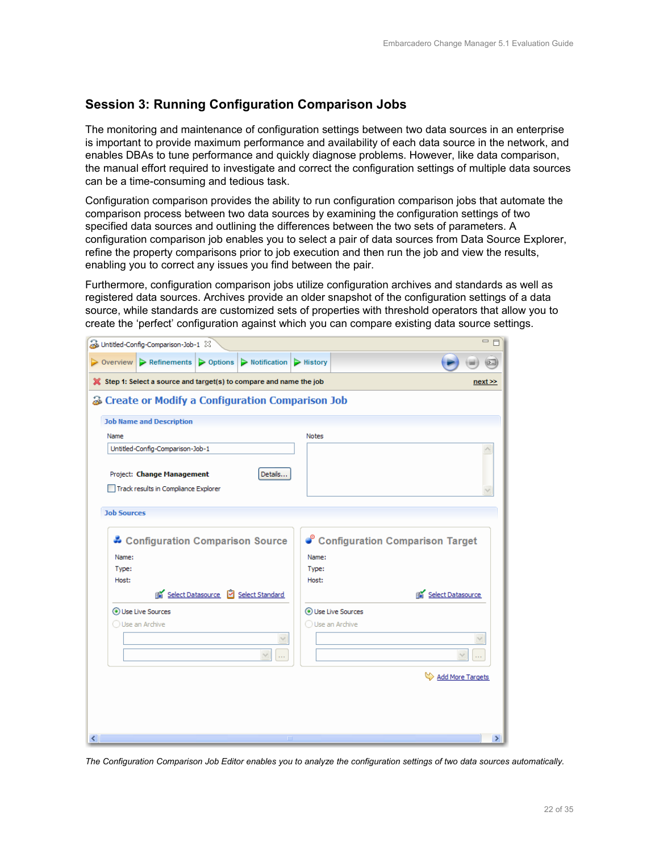# **Session 3: Running Configuration Comparison Jobs**

The monitoring and maintenance of configuration settings between two data sources in an enterprise is important to provide maximum performance and availability of each data source in the network, and enables DBAs to tune performance and quickly diagnose problems. However, like data comparison, the manual effort required to investigate and correct the configuration settings of multiple data sources can be a time-consuming and tedious task.

Configuration comparison provides the ability to run configuration comparison jobs that automate the comparison process between two data sources by examining the configuration settings of two specified data sources and outlining the differences between the two sets of parameters. A configuration comparison job enables you to select a pair of data sources from Data Source Explorer, refine the property comparisons prior to job execution and then run the job and view the results, enabling you to correct any issues you find between the pair.

Furthermore, configuration comparison jobs utilize configuration archives and standards as well as registered data sources. Archives provide an older snapshot of the configuration settings of a data source, while standards are customized sets of properties with threshold operators that allow you to create the 'perfect' configuration against which you can compare existing data source settings.

| M Untitled-Config-Comparison-Job-1 23                                                                            | ᄆ ᄐ                             |  |  |  |  |  |  |
|------------------------------------------------------------------------------------------------------------------|---------------------------------|--|--|--|--|--|--|
| $\triangleright$ Overview $\triangleright$ Refinements $\triangleright$ Options<br>$\triangleright$ Notification | $\blacktriangleright$ History   |  |  |  |  |  |  |
| Step 1: Select a source and target(s) to compare and name the job<br>next >>                                     |                                 |  |  |  |  |  |  |
| & Create or Modify a Configuration Comparison Job                                                                |                                 |  |  |  |  |  |  |
| <b>Job Name and Description</b>                                                                                  |                                 |  |  |  |  |  |  |
| Name                                                                                                             | <b>Notes</b>                    |  |  |  |  |  |  |
| Untitled-Config-Comparison-Job-1                                                                                 |                                 |  |  |  |  |  |  |
|                                                                                                                  |                                 |  |  |  |  |  |  |
| Details<br>Project: Change Management                                                                            |                                 |  |  |  |  |  |  |
| Track results in Compliance Explorer                                                                             |                                 |  |  |  |  |  |  |
|                                                                                                                  |                                 |  |  |  |  |  |  |
| <b>Job Sources</b>                                                                                               |                                 |  |  |  |  |  |  |
| & Configuration Comparison Source                                                                                | Configuration Comparison Target |  |  |  |  |  |  |
|                                                                                                                  |                                 |  |  |  |  |  |  |
| Name:<br>Type:                                                                                                   | Name:<br>Type:                  |  |  |  |  |  |  |
| Host:                                                                                                            | Host:                           |  |  |  |  |  |  |
| Belect Datasource <b>기</b> Select Standard                                                                       | Select Datasource               |  |  |  |  |  |  |
| <b>O</b> Use Live Sources                                                                                        | <b>O</b> Use Live Sources       |  |  |  |  |  |  |
| ◯ Use an Archive                                                                                                 | ◯ Use an Archive                |  |  |  |  |  |  |
| $\sim$                                                                                                           |                                 |  |  |  |  |  |  |
| $\lor$<br>$\sim$                                                                                                 | $\lor$<br>$\sim$                |  |  |  |  |  |  |
|                                                                                                                  |                                 |  |  |  |  |  |  |
|                                                                                                                  | Add More Targets                |  |  |  |  |  |  |
|                                                                                                                  |                                 |  |  |  |  |  |  |
|                                                                                                                  |                                 |  |  |  |  |  |  |
|                                                                                                                  |                                 |  |  |  |  |  |  |
| $\leq$<br><b>IIII</b>                                                                                            | $\blacktriangleright$           |  |  |  |  |  |  |
|                                                                                                                  |                                 |  |  |  |  |  |  |

*The Configuration Comparison Job Editor enables you to analyze the configuration settings of two data sources automatically.*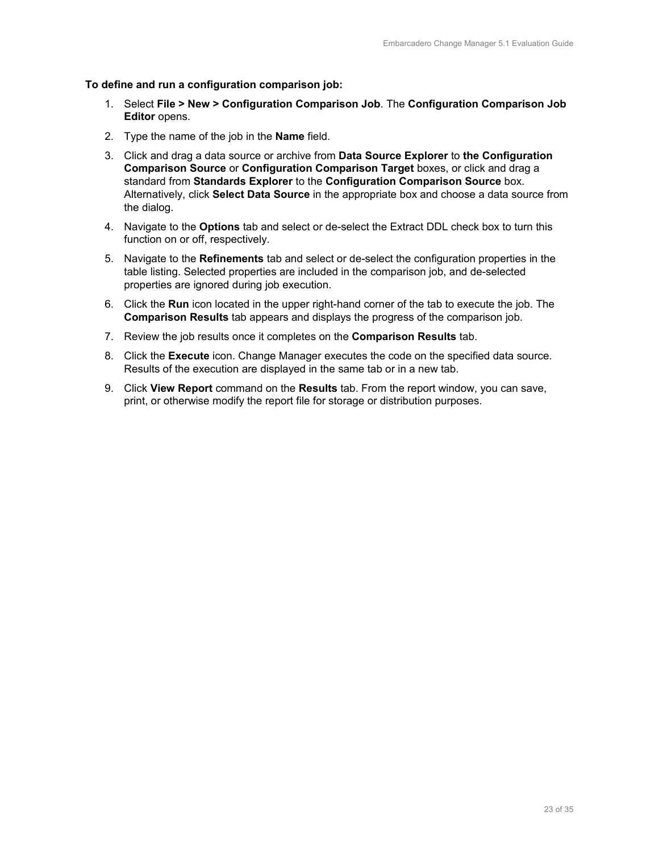#### **To define and run a configuration comparison job:**

- 1. Select **File > New > Configuration Comparison Job**. The **Configuration Comparison Job Editor** opens.
- 2. Type the name of the job in the **Name** field.
- 3. Click and drag a data source or archive from **Data Source Explorer** to **the Configuration Comparison Source** or **Configuration Comparison Target** boxes, or click and drag a standard from **Standards Explorer** to the **Configuration Comparison Source** box. Alternatively, click **Select Data Source** in the appropriate box and choose a data source from the dialog.
- 4. Navigate to the **Options** tab and select or de-select the Extract DDL check box to turn this function on or off, respectively.
- 5. Navigate to the **Refinements** tab and select or de-select the configuration properties in the table listing. Selected properties are included in the comparison job, and de-selected properties are ignored during job execution.
- 6. Click the **Run** icon located in the upper right-hand corner of the tab to execute the job. The **Comparison Results** tab appears and displays the progress of the comparison job.
- 7. Review the job results once it completes on the **Comparison Results** tab.
- 8. Click the **Execute** icon. Change Manager executes the code on the specified data source. Results of the execution are displayed in the same tab or in a new tab.
- 9. Click **View Report** command on the **Results** tab. From the report window, you can save, print, or otherwise modify the report file for storage or distribution purposes.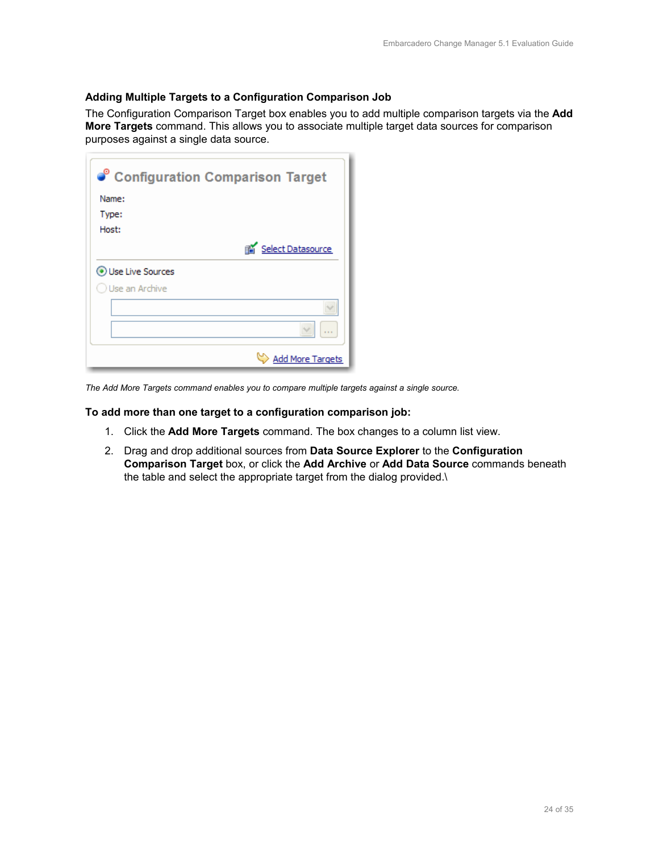# **Adding Multiple Targets to a Configuration Comparison Job**

The Configuration Comparison Target box enables you to add multiple comparison targets via the **Add More Targets** command. This allows you to associate multiple target data sources for comparison purposes against a single data source.

| Configuration Comparison Target |
|---------------------------------|
| Name:                           |
| Type:                           |
| Host:                           |
| Select Datasource               |
| Use Live Sources                |
| Use an Archive                  |
|                                 |
|                                 |
| <b>Add More Targets</b>         |

*The Add More Targets command enables you to compare multiple targets against a single source.*

#### **To add more than one target to a configuration comparison job:**

- 1. Click the **Add More Targets** command. The box changes to a column list view.
- 2. Drag and drop additional sources from **Data Source Explorer** to the **Configuration Comparison Target** box, or click the **Add Archive** or **Add Data Source** commands beneath the table and select the appropriate target from the dialog provided.\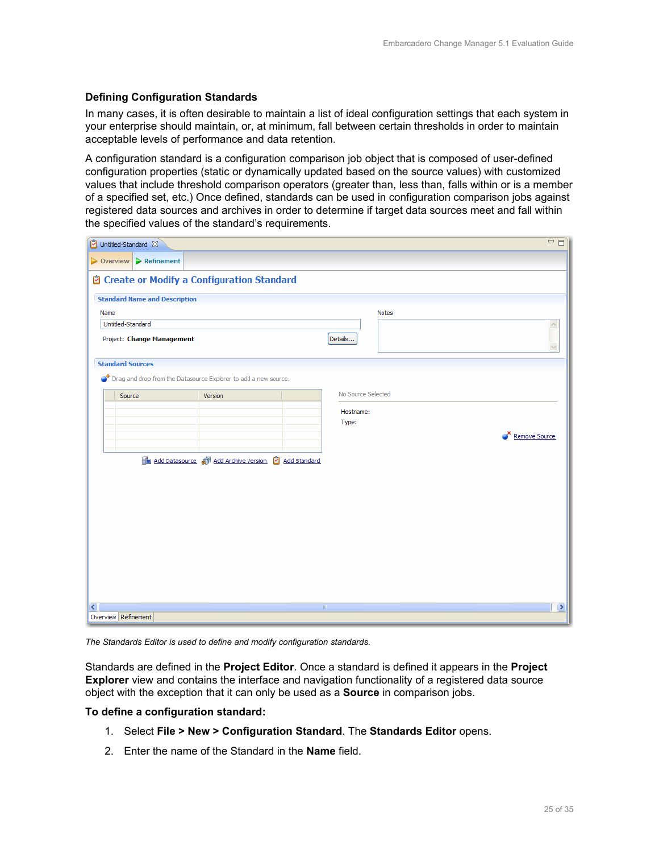# **Defining Configuration Standards**

In many cases, it is often desirable to maintain a list of ideal configuration settings that each system in your enterprise should maintain, or, at minimum, fall between certain thresholds in order to maintain acceptable levels of performance and data retention.

A configuration standard is a configuration comparison job object that is composed of user-defined configuration properties (static or dynamically updated based on the source values) with customized values that include threshold comparison operators (greater than, less than, falls within or is a member of a specified set, etc.) Once defined, standards can be used in configuration comparison jobs against registered data sources and archives in order to determine if target data sources meet and fall within the specified values of the standard's requirements.

| Untitled-Standard &                                   |                                                                              |                    | $=$ $E$       |
|-------------------------------------------------------|------------------------------------------------------------------------------|--------------------|---------------|
| $\triangleright$ Overview $\triangleright$ Refinement |                                                                              |                    |               |
|                                                       | <b>2</b> Create or Modify a Configuration Standard                           |                    |               |
| <b>Standard Name and Description</b>                  |                                                                              |                    |               |
| Name                                                  |                                                                              | Notes              |               |
| Untitled-Standard                                     |                                                                              |                    |               |
| Project: Change Management                            |                                                                              | Details            |               |
| <b>Standard Sources</b>                               |                                                                              |                    |               |
|                                                       | <sup>+</sup> Drag and drop from the Datasource Explorer to add a new source. |                    |               |
| Source                                                | Version                                                                      | No Source Selected |               |
|                                                       |                                                                              | Hostname:          |               |
|                                                       |                                                                              | Type:              |               |
|                                                       |                                                                              |                    | Remove Source |
|                                                       |                                                                              |                    |               |
|                                                       | Add Datasource @ Add Archive Version [ Add Standard                          |                    |               |
|                                                       |                                                                              |                    |               |
|                                                       |                                                                              |                    |               |
|                                                       |                                                                              |                    |               |
|                                                       |                                                                              |                    |               |
|                                                       |                                                                              |                    |               |
|                                                       |                                                                              |                    |               |
|                                                       |                                                                              |                    |               |
|                                                       |                                                                              |                    |               |
|                                                       |                                                                              |                    |               |
|                                                       |                                                                              |                    |               |
|                                                       |                                                                              |                    |               |
| ∢                                                     |                                                                              | <b>TITLE</b>       | $\rightarrow$ |
| Overview Refinement                                   |                                                                              |                    |               |

*The Standards Editor is used to define and modify configuration standards.*

Standards are defined in the **Project Editor**. Once a standard is defined it appears in the **Project Explorer** view and contains the interface and navigation functionality of a registered data source object with the exception that it can only be used as a **Source** in comparison jobs.

# **To define a configuration standard:**

- 1. Select **File > New > Configuration Standard**. The **Standards Editor** opens.
- 2. Enter the name of the Standard in the **Name** field.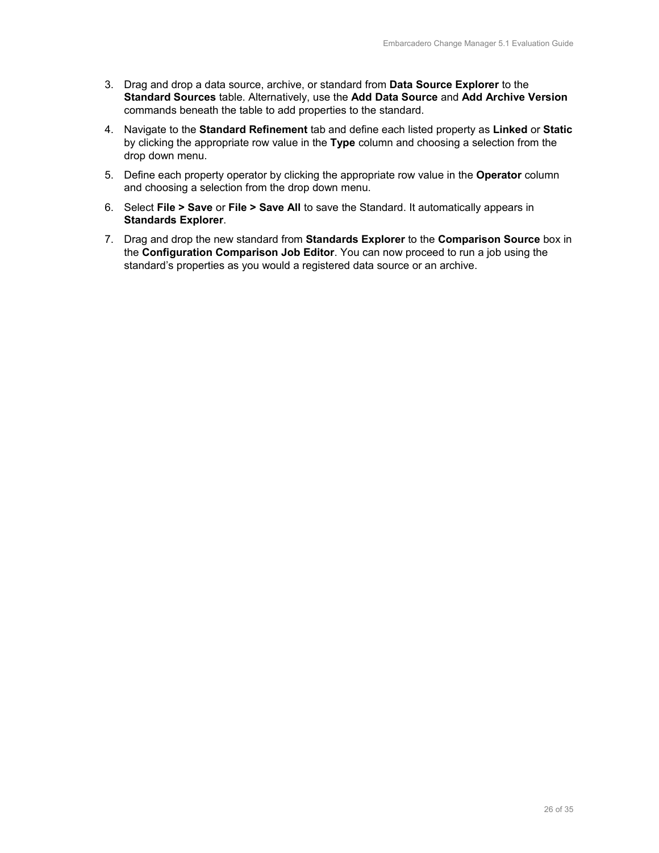- 3. Drag and drop a data source, archive, or standard from **Data Source Explorer** to the **Standard Sources** table. Alternatively, use the **Add Data Source** and **Add Archive Version** commands beneath the table to add properties to the standard.
- 4. Navigate to the **Standard Refinement** tab and define each listed property as **Linked** or **Static** by clicking the appropriate row value in the **Type** column and choosing a selection from the drop down menu.
- 5. Define each property operator by clicking the appropriate row value in the **Operator** column and choosing a selection from the drop down menu.
- 6. Select **File > Save** or **File > Save All** to save the Standard. It automatically appears in **Standards Explorer**.
- 7. Drag and drop the new standard from **Standards Explorer** to the **Comparison Source** box in the **Configuration Comparison Job Editor**. You can now proceed to run a job using the standard's properties as you would a registered data source or an archive.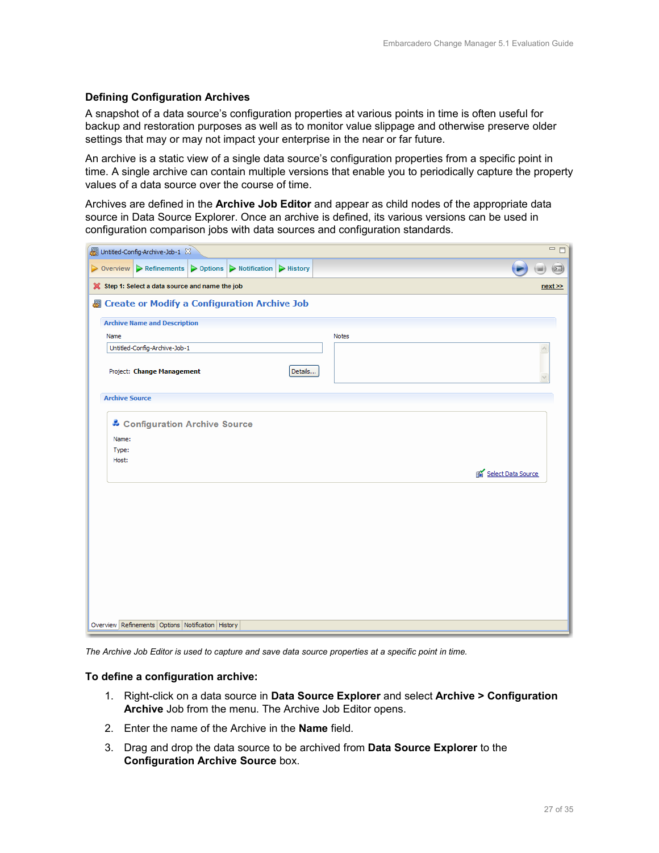# **Defining Configuration Archives**

A snapshot of a data source's configuration properties at various points in time is often useful for backup and restoration purposes as well as to monitor value slippage and otherwise preserve older settings that may or may not impact your enterprise in the near or far future.

An archive is a static view of a single data source's configuration properties from a specific point in time. A single archive can contain multiple versions that enable you to periodically capture the property values of a data source over the course of time.

Archives are defined in the **Archive Job Editor** and appear as child nodes of the appropriate data source in Data Source Explorer. Once an archive is defined, its various versions can be used in configuration comparison jobs with data sources and configuration standards.

|                       | 图 Untitled-Config-Archive-Job-1 8                                   |  |         |              | $=$ $\Box$         |
|-----------------------|---------------------------------------------------------------------|--|---------|--------------|--------------------|
|                       | > Overview   > Refinements   > Options   > Notification   > History |  |         |              | $\sqrt{2}$         |
|                       | Step 1: Select a data source and name the job                       |  |         |              | $next \geqslant$   |
|                       | <b>图 Create or Modify a Configuration Archive Job</b>               |  |         |              |                    |
|                       | <b>Archive Name and Description</b>                                 |  |         |              |                    |
| Name                  |                                                                     |  |         | <b>Notes</b> |                    |
|                       | Untitled-Config-Archive-Job-1                                       |  |         |              |                    |
|                       |                                                                     |  |         |              |                    |
|                       | Project: Change Management                                          |  | Details |              |                    |
|                       |                                                                     |  |         |              |                    |
| <b>Archive Source</b> |                                                                     |  |         |              |                    |
| Type:<br>Host:        |                                                                     |  |         |              | Select Data Source |
|                       |                                                                     |  |         |              |                    |
|                       |                                                                     |  |         |              |                    |
|                       |                                                                     |  |         |              |                    |
|                       |                                                                     |  |         |              |                    |
|                       |                                                                     |  |         |              |                    |
|                       |                                                                     |  |         |              |                    |
|                       |                                                                     |  |         |              |                    |
|                       |                                                                     |  |         |              |                    |
|                       |                                                                     |  |         |              |                    |
|                       | Overview Refinements Options Notification History                   |  |         |              |                    |
|                       |                                                                     |  |         |              |                    |

*The Archive Job Editor is used to capture and save data source properties at a specific point in time.*

#### **To define a configuration archive:**

- 1. Right-click on a data source in **Data Source Explorer** and select **Archive > Configuration Archive** Job from the menu. The Archive Job Editor opens.
- 2. Enter the name of the Archive in the **Name** field.
- 3. Drag and drop the data source to be archived from **Data Source Explorer** to the **Configuration Archive Source** box.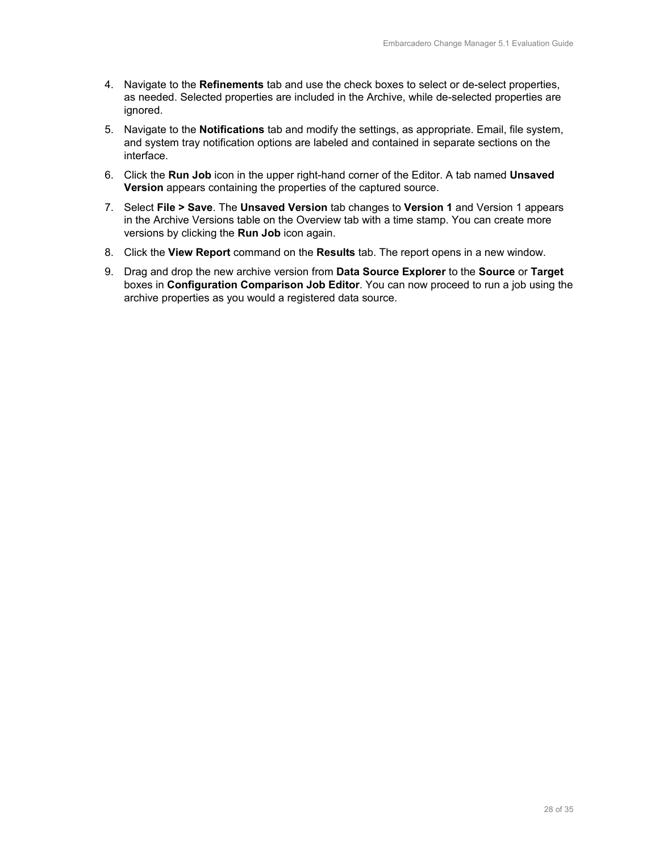- 4. Navigate to the **Refinements** tab and use the check boxes to select or de-select properties, as needed. Selected properties are included in the Archive, while de-selected properties are ignored.
- 5. Navigate to the **Notifications** tab and modify the settings, as appropriate. Email, file system, and system tray notification options are labeled and contained in separate sections on the interface.
- 6. Click the **Run Job** icon in the upper right-hand corner of the Editor. A tab named **Unsaved Version** appears containing the properties of the captured source.
- 7. Select **File > Save**. The **Unsaved Version** tab changes to **Version 1** and Version 1 appears in the Archive Versions table on the Overview tab with a time stamp. You can create more versions by clicking the **Run Job** icon again.
- 8. Click the **View Report** command on the **Results** tab. The report opens in a new window.
- 9. Drag and drop the new archive version from **Data Source Explorer** to the **Source** or **Target** boxes in **Configuration Comparison Job Editor**. You can now proceed to run a job using the archive properties as you would a registered data source.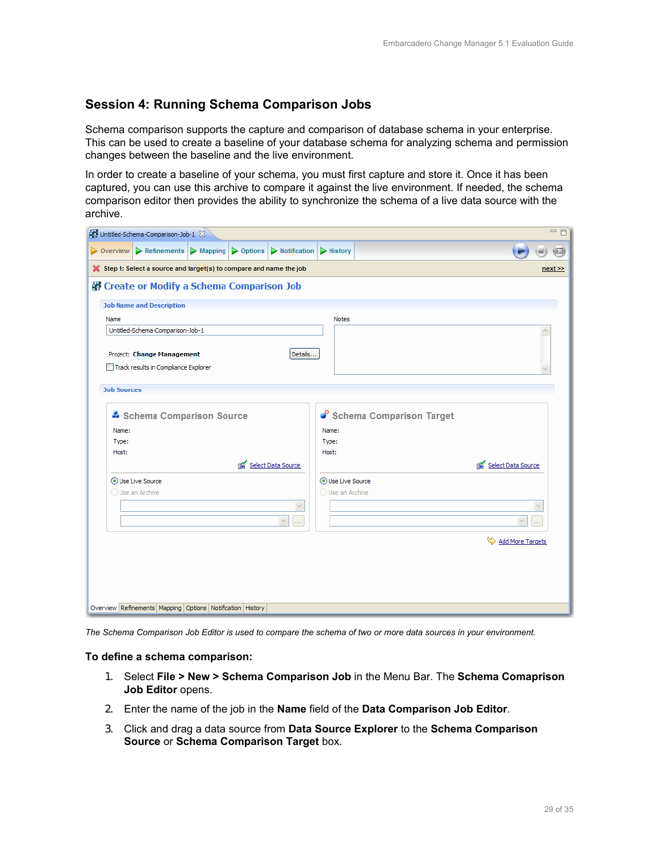# **Session 4: Running Schema Comparison Jobs**

Schema comparison supports the capture and comparison of database schema in your enterprise. This can be used to create a baseline of your database schema for analyzing schema and permission changes between the baseline and the live environment.

In order to create a baseline of your schema, you must first capture and store it. Once it has been captured, you can use this archive to compare it against the live environment. If needed, the schema comparison editor then provides the ability to synchronize the schema of a live data source with the archive.

|                    | 一日<br>A Untitled-Schema-Comparison-Job-1 23                                                                                                                              |  |  |                    |                          |                          |                          |  |  |
|--------------------|--------------------------------------------------------------------------------------------------------------------------------------------------------------------------|--|--|--------------------|--------------------------|--------------------------|--------------------------|--|--|
|                    | $\triangleright$ Overview $\triangleright$ Refinements<br>Options<br>$\triangleright$ Notification<br>$\triangleright$ Mapping<br>$\triangleright$ History<br>$\sqrt{2}$ |  |  |                    |                          |                          |                          |  |  |
|                    | Step 1: Select a source and target(s) to compare and name the job<br>$next \gg$                                                                                          |  |  |                    |                          |                          |                          |  |  |
|                    | 望 Create or Modify a Schema Comparison Job                                                                                                                               |  |  |                    |                          |                          |                          |  |  |
|                    | <b>Job Name and Description</b>                                                                                                                                          |  |  |                    |                          |                          |                          |  |  |
| Name               |                                                                                                                                                                          |  |  |                    | <b>Notes</b>             |                          |                          |  |  |
|                    | Untitled-Schema-Comparison-Job-1                                                                                                                                         |  |  |                    |                          |                          |                          |  |  |
|                    | Project: Change Management                                                                                                                                               |  |  | Details            |                          |                          |                          |  |  |
|                    | Track results in Compliance Explorer                                                                                                                                     |  |  |                    |                          |                          |                          |  |  |
|                    |                                                                                                                                                                          |  |  |                    |                          |                          |                          |  |  |
| <b>Job Sources</b> |                                                                                                                                                                          |  |  |                    |                          |                          |                          |  |  |
|                    |                                                                                                                                                                          |  |  |                    |                          |                          |                          |  |  |
|                    | & Schema Comparison Source                                                                                                                                               |  |  |                    |                          | Schema Comparison Target |                          |  |  |
| Name:              |                                                                                                                                                                          |  |  |                    | Name:                    |                          |                          |  |  |
| Type:<br>Host:     |                                                                                                                                                                          |  |  |                    | Type:<br>Host:           |                          |                          |  |  |
|                    |                                                                                                                                                                          |  |  | Select Data Source |                          |                          | Select Data Source       |  |  |
|                    | <b>O</b> Use Live Source                                                                                                                                                 |  |  |                    | <b>O</b> Use Live Source |                          |                          |  |  |
|                    | ◯ Use an Archive                                                                                                                                                         |  |  |                    | ◯ Use an Archive         |                          |                          |  |  |
|                    |                                                                                                                                                                          |  |  | $\sim$             |                          |                          |                          |  |  |
|                    |                                                                                                                                                                          |  |  | $\vee$<br>$\alpha$ |                          |                          | $\checkmark$<br>$\cdots$ |  |  |
|                    | Add More Targets                                                                                                                                                         |  |  |                    |                          |                          |                          |  |  |
|                    |                                                                                                                                                                          |  |  |                    |                          |                          |                          |  |  |
|                    |                                                                                                                                                                          |  |  |                    |                          |                          |                          |  |  |
|                    |                                                                                                                                                                          |  |  |                    |                          |                          |                          |  |  |
|                    |                                                                                                                                                                          |  |  |                    |                          |                          |                          |  |  |
|                    | Overview Refinements Mapping Options Notification History                                                                                                                |  |  |                    |                          |                          |                          |  |  |

*The Schema Comparison Job Editor is used to compare the schema of two or more data sources in your environment.*

#### **To define a schema comparison:**

- 1. Select **File > New > Schema Comparison Job** in the Menu Bar. The **Schema Comaprison Job Editor** opens.
- 2. Enter the name of the job in the **Name** field of the **Data Comparison Job Editor**.
- 3. Click and drag a data source from **Data Source Explorer** to the **Schema Comparison Source** or **Schema Comparison Target** box.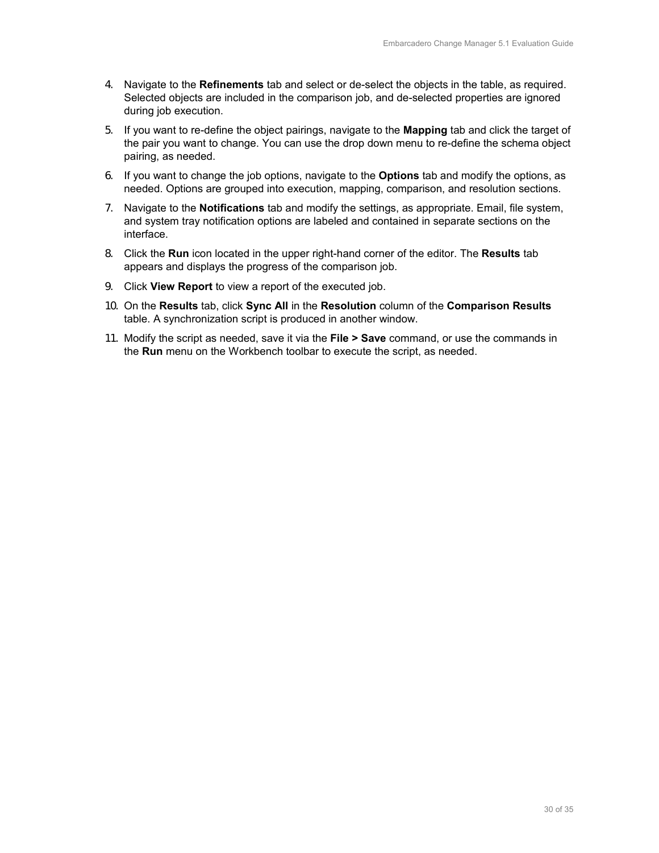- 4. Navigate to the **Refinements** tab and select or de-select the objects in the table, as required. Selected objects are included in the comparison job, and de-selected properties are ignored during job execution.
- 5. If you want to re-define the object pairings, navigate to the **Mapping** tab and click the target of the pair you want to change. You can use the drop down menu to re-define the schema object pairing, as needed.
- 6. If you want to change the job options, navigate to the **Options** tab and modify the options, as needed. Options are grouped into execution, mapping, comparison, and resolution sections.
- 7. Navigate to the **Notifications** tab and modify the settings, as appropriate. Email, file system, and system tray notification options are labeled and contained in separate sections on the interface.
- 8. Click the **Run** icon located in the upper right-hand corner of the editor. The **Results** tab appears and displays the progress of the comparison job.
- 9. Click **View Report** to view a report of the executed job.
- 10. On the **Results** tab, click **Sync All** in the **Resolution** column of the **Comparison Results** table. A synchronization script is produced in another window.
- 11. Modify the script as needed, save it via the **File > Save** command, or use the commands in the **Run** menu on the Workbench toolbar to execute the script, as needed.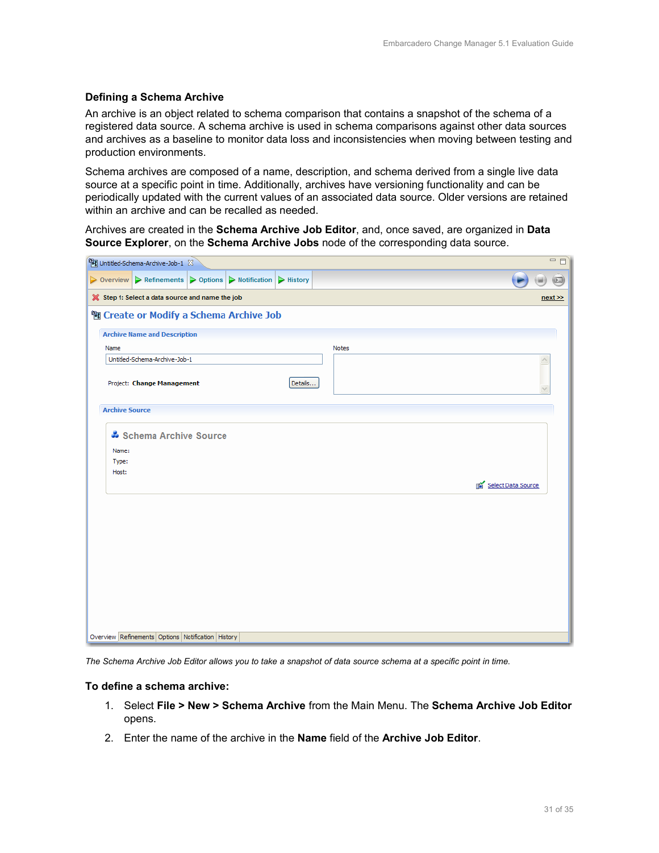#### **Defining a Schema Archive**

An archive is an object related to schema comparison that contains a snapshot of the schema of a registered data source. A schema archive is used in schema comparisons against other data sources and archives as a baseline to monitor data loss and inconsistencies when moving between testing and production environments.

Schema archives are composed of a name, description, and schema derived from a single live data source at a specific point in time. Additionally, archives have versioning functionality and can be periodically updated with the current values of an associated data source. Older versions are retained within an archive and can be recalled as needed.

Archives are created in the **Schema Archive Job Editor**, and, once saved, are organized in **Data Source Explorer**, on the **Schema Archive Jobs** node of the corresponding data source.

| <sup>18</sup> Untitled-Schema-Archive-Job-1 23                                                                                   | $=$ $E$            |
|----------------------------------------------------------------------------------------------------------------------------------|--------------------|
| $\triangleright$ Overview $\triangleright$ Refinements $\triangleright$ Options<br>Notification<br>$\blacktriangleright$ History | $(2-$              |
| Step 1: Select a data source and name the job                                                                                    | $next \geq$        |
| 图 Create or Modify a Schema Archive Job                                                                                          |                    |
| <b>Archive Name and Description</b>                                                                                              |                    |
| <b>Notes</b><br>Name                                                                                                             |                    |
| Untitled-Schema-Archive-Job-1<br>Project: Change Management<br>Details                                                           |                    |
| <b>Archive Source</b>                                                                                                            |                    |
| Name:<br>Type:<br>Host:                                                                                                          | Select Data Source |
| Overview Refinements Options Notification History                                                                                |                    |

*The Schema Archive Job Editor allows you to take a snapshot of data source schema at a specific point in time.*

#### **To define a schema archive:**

- 1. Select **File > New > Schema Archive** from the Main Menu. The **Schema Archive Job Editor** opens.
- 2. Enter the name of the archive in the **Name** field of the **Archive Job Editor**.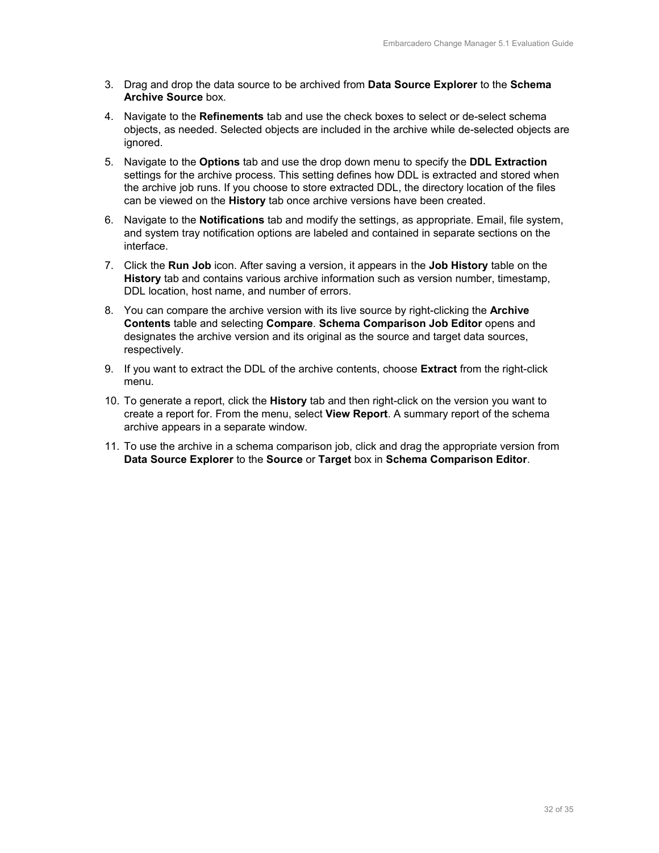- 3. Drag and drop the data source to be archived from **Data Source Explorer** to the **Schema Archive Source** box.
- 4. Navigate to the **Refinements** tab and use the check boxes to select or de-select schema objects, as needed. Selected objects are included in the archive while de-selected objects are ignored.
- 5. Navigate to the **Options** tab and use the drop down menu to specify the **DDL Extraction** settings for the archive process. This setting defines how DDL is extracted and stored when the archive job runs. If you choose to store extracted DDL, the directory location of the files can be viewed on the **History** tab once archive versions have been created.
- 6. Navigate to the **Notifications** tab and modify the settings, as appropriate. Email, file system, and system tray notification options are labeled and contained in separate sections on the interface.
- 7. Click the **Run Job** icon. After saving a version, it appears in the **Job History** table on the **History** tab and contains various archive information such as version number, timestamp, DDL location, host name, and number of errors.
- 8. You can compare the archive version with its live source by right-clicking the **Archive Contents** table and selecting **Compare**. **Schema Comparison Job Editor** opens and designates the archive version and its original as the source and target data sources, respectively.
- 9. If you want to extract the DDL of the archive contents, choose **Extract** from the right-click menu.
- 10. To generate a report, click the **History** tab and then right-click on the version you want to create a report for. From the menu, select **View Report**. A summary report of the schema archive appears in a separate window.
- 11. To use the archive in a schema comparison job, click and drag the appropriate version from **Data Source Explorer** to the **Source** or **Target** box in **Schema Comparison Editor**.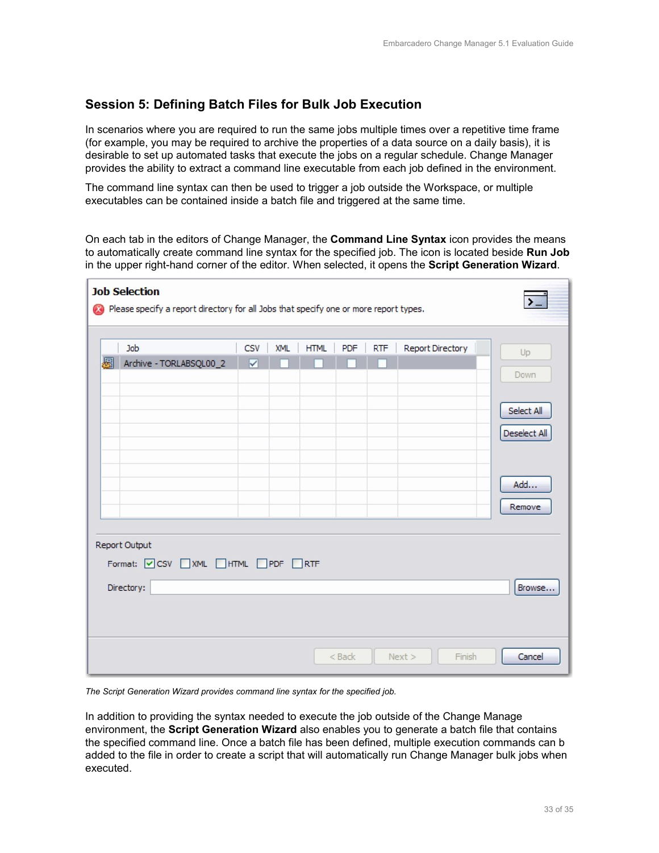# **Session 5: Defining Batch Files for Bulk Job Execution**

In scenarios where you are required to run the same jobs multiple times over a repetitive time frame (for example, you may be required to archive the properties of a data source on a daily basis), it is desirable to set up automated tasks that execute the jobs on a regular schedule. Change Manager provides the ability to extract a command line executable from each job defined in the environment.

The command line syntax can then be used to trigger a job outside the Workspace, or multiple executables can be contained inside a batch file and triggered at the same time.

On each tab in the editors of Change Manager, the **Command Line Syntax** icon provides the means to automatically create command line syntax for the specified job. The icon is located beside **Run Job** in the upper right-hand corner of the editor. When selected, it opens the **Script Generation Wizard**.

| Job                                                                   | CSV                     | <b>XML</b> | <b>HTML</b> | PDF | RTF   Report Directory | Up            |
|-----------------------------------------------------------------------|-------------------------|------------|-------------|-----|------------------------|---------------|
| Archive - TORLABSQL00_2                                               | $\overline{\mathbf{v}}$ |            |             |     |                        |               |
|                                                                       |                         |            |             |     |                        | Down          |
|                                                                       |                         |            |             |     |                        | Select All    |
|                                                                       |                         |            |             |     |                        | Deselect All  |
|                                                                       |                         |            |             |     |                        |               |
|                                                                       |                         |            |             |     |                        | Add<br>Remove |
| Report Output<br>Format: ○ CSV □ XML □ HTML □ PDF □ RTF<br>Directory: |                         |            |             |     |                        | Browse        |

*The Script Generation Wizard provides command line syntax for the specified job.*

In addition to providing the syntax needed to execute the job outside of the Change Manage environment, the **Script Generation Wizard** also enables you to generate a batch file that contains the specified command line. Once a batch file has been defined, multiple execution commands can b added to the file in order to create a script that will automatically run Change Manager bulk jobs when executed.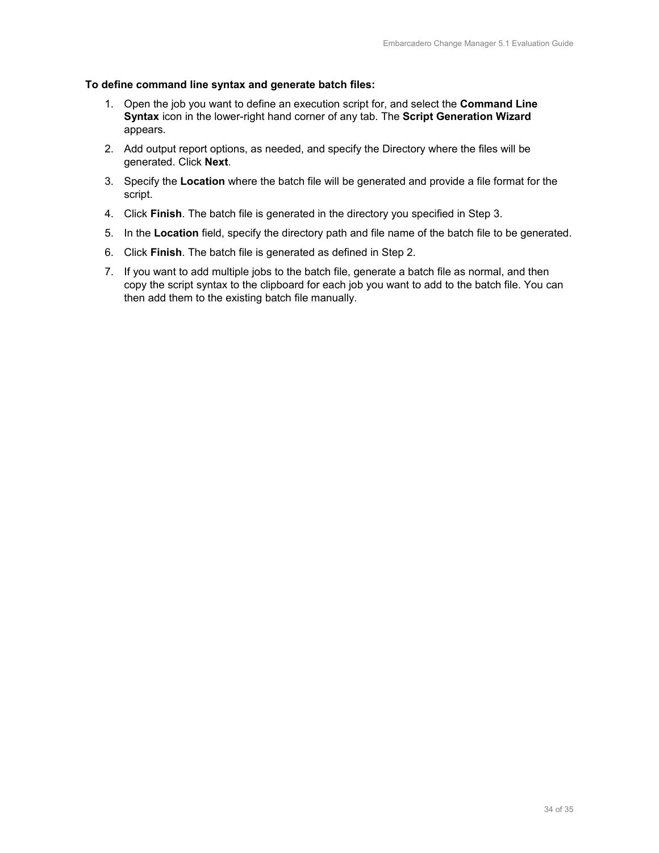# **To define command line syntax and generate batch files:**

- 1. Open the job you want to define an execution script for, and select the **Command Line Syntax** icon in the lower-right hand corner of any tab. The **Script Generation Wizard** appears.
- 2. Add output report options, as needed, and specify the Directory where the files will be generated. Click **Next**.
- 3. Specify the **Location** where the batch file will be generated and provide a file format for the script.
- 4. Click **Finish**. The batch file is generated in the directory you specified in Step 3.
- 5. In the **Location** field, specify the directory path and file name of the batch file to be generated.
- 6. Click **Finish**. The batch file is generated as defined in Step 2.
- 7. If you want to add multiple jobs to the batch file, generate a batch file as normal, and then copy the script syntax to the clipboard for each job you want to add to the batch file. You can then add them to the existing batch file manually.